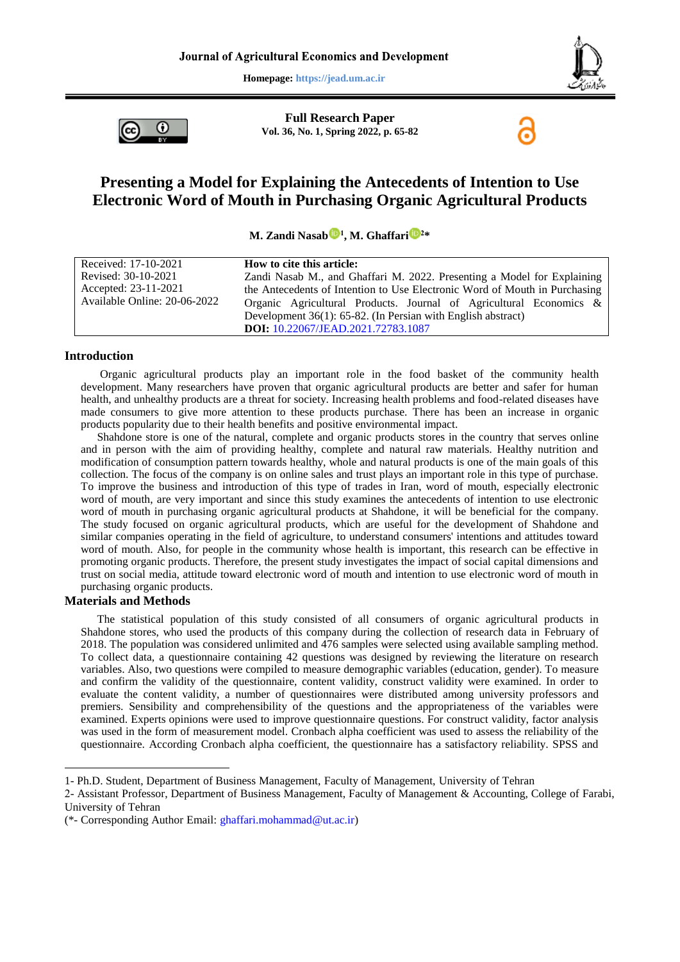**Homepage: https://jead.um.ac.ir**



O

**Full Research Paper Vol. 36, No. 1, Spring 2022, p. 65-82**

# **Presenting a Model for Explaining the Antecedents of Intention to Use Electronic Word of Mouth in Purchasing Organic Agricultural Products**

**M. Zandi Nasab <sup>1</sup> , M. Ghaffar[i](https://orcid.org/0000-0002-0566-4717) <sup>2</sup>\***

| Received: 17-10-2021         | How to cite this article:                                                  |
|------------------------------|----------------------------------------------------------------------------|
| Revised: 30-10-2021          | Zandi Nasab M., and Ghaffari M. 2022. Presenting a Model for Explaining    |
| Accepted: 23-11-2021         | the Antecedents of Intention to Use Electronic Word of Mouth in Purchasing |
| Available Online: 20-06-2022 | Organic Agricultural Products. Journal of Agricultural Economics &         |
|                              | Development $36(1)$ : 65-82. (In Persian with English abstract)            |
|                              | DOI: 10.22067/JEAD.2021.72783.1087                                         |

#### **Introduction**

Organic agricultural products play an important role in the food basket of the community health development. Many researchers have proven that organic agricultural products are better and safer for human health, and unhealthy products are a threat for society. Increasing health problems and food-related diseases have made consumers to give more attention to these products purchase. There has been an increase in organic products popularity due to their health benefits and positive environmental impact.

Shahdone store is one of the natural, complete and organic products stores in the country that serves online and in person with the aim of providing healthy, complete and natural raw materials. Healthy nutrition and modification of consumption pattern towards healthy, whole and natural products is one of the main goals of this collection. The focus of the company is on online sales and trust plays an important role in this type of purchase. To improve the business and introduction of this type of trades in Iran, word of mouth, especially electronic word of mouth, are very important and since this study examines the antecedents of intention to use electronic word of mouth in purchasing organic agricultural products at Shahdone, it will be beneficial for the company. The study focused on organic agricultural products, which are useful for the development of Shahdone and similar companies operating in the field of agriculture, to understand consumers' intentions and attitudes toward word of mouth. Also, for people in the community whose health is important, this research can be effective in promoting organic products. Therefore, the present study investigates the impact of social capital dimensions and trust on social media, attitude toward electronic word of mouth and intention to use electronic word of mouth in purchasing organic products.

## **Materials and Methods**

1

The statistical population of this study consisted of all consumers of organic agricultural products in Shahdone stores, who used the products of this company during the collection of research data in February of 2018. The population was considered unlimited and 476 samples were selected using available sampling method. To collect data, a questionnaire containing 42 questions was designed by reviewing the literature on research variables. Also, two questions were compiled to measure demographic variables (education, gender). To measure and confirm the validity of the questionnaire, content validity, construct validity were examined. In order to evaluate the content validity, a number of questionnaires were distributed among university professors and premiers. Sensibility and comprehensibility of the questions and the appropriateness of the variables were examined. Experts opinions were used to improve questionnaire questions. For construct validity, factor analysis was used in the form of measurement model. Cronbach alpha coefficient was used to assess the reliability of the questionnaire. According Cronbach alpha coefficient, the questionnaire has a satisfactory reliability. SPSS and

<sup>1-</sup> Ph.D. Student, Department of Business Management, Faculty of Management, University of Tehran

<sup>2-</sup> Assistant Professor, Department of Business Management, Faculty of Management & Accounting, College of Farabi, University of Tehran

<sup>(\*-</sup> Corresponding Author Email: [ghaffari.mohammad@ut.ac.ir\)](mailto:ghaffari.mohammad@ut.ac.ir)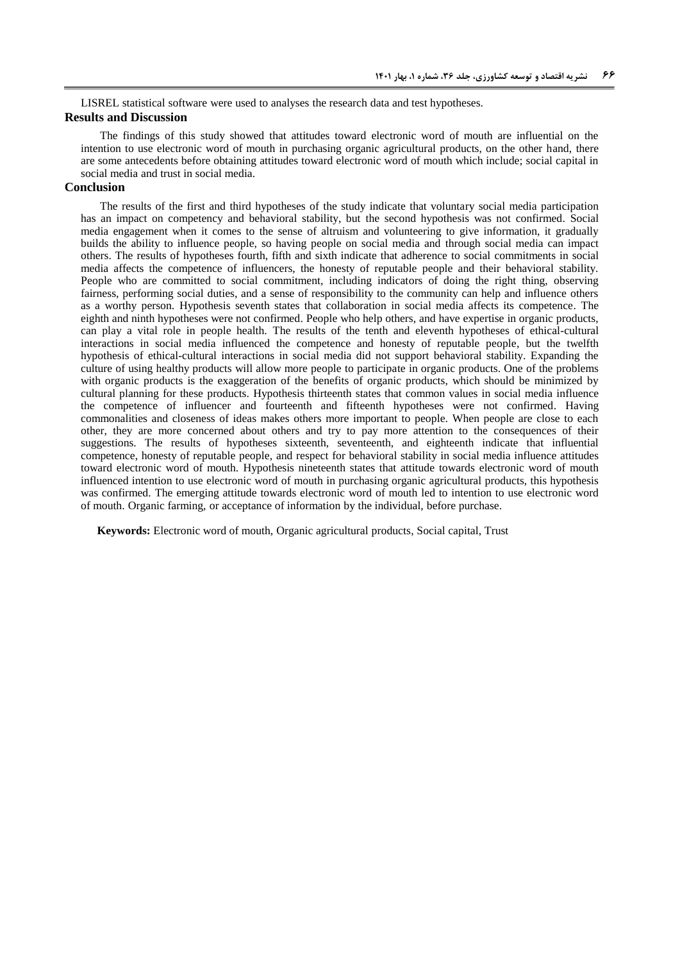LISREL statistical software were used to analyses the research data and test hypotheses.

#### **Results and Discussion**

The findings of this study showed that attitudes toward electronic word of mouth are influential on the intention to use electronic word of mouth in purchasing organic agricultural products, on the other hand, there are some antecedents before obtaining attitudes toward electronic word of mouth which include; social capital in social media and trust in social media.

## **Conclusion**

The results of the first and third hypotheses of the study indicate that voluntary social media participation has an impact on competency and behavioral stability, but the second hypothesis was not confirmed. Social media engagement when it comes to the sense of altruism and volunteering to give information, it gradually builds the ability to influence people, so having people on social media and through social media can impact others. The results of hypotheses fourth, fifth and sixth indicate that adherence to social commitments in social media affects the competence of influencers, the honesty of reputable people and their behavioral stability. People who are committed to social commitment, including indicators of doing the right thing, observing fairness, performing social duties, and a sense of responsibility to the community can help and influence others as a worthy person. Hypothesis seventh states that collaboration in social media affects its competence. The eighth and ninth hypotheses were not confirmed. People who help others, and have expertise in organic products, can play a vital role in people health. The results of the tenth and eleventh hypotheses of ethical-cultural interactions in social media influenced the competence and honesty of reputable people, but the twelfth hypothesis of ethical-cultural interactions in social media did not support behavioral stability. Expanding the culture of using healthy products will allow more people to participate in organic products. One of the problems with organic products is the exaggeration of the benefits of organic products, which should be minimized by cultural planning for these products. Hypothesis thirteenth states that common values in social media influence the competence of influencer and fourteenth and fifteenth hypotheses were not confirmed. Having commonalities and closeness of ideas makes others more important to people. When people are close to each other, they are more concerned about others and try to pay more attention to the consequences of their suggestions. The results of hypotheses sixteenth, seventeenth, and eighteenth indicate that influential competence, honesty of reputable people, and respect for behavioral stability in social media influence attitudes toward electronic word of mouth. Hypothesis nineteenth states that attitude towards electronic word of mouth influenced intention to use electronic word of mouth in purchasing organic agricultural products, this hypothesis was confirmed. The emerging attitude towards electronic word of mouth led to intention to use electronic word of mouth. Organic farming, or acceptance of information by the individual, before purchase.

**Keywords:** Electronic word of mouth, Organic agricultural products, Social capital, Trust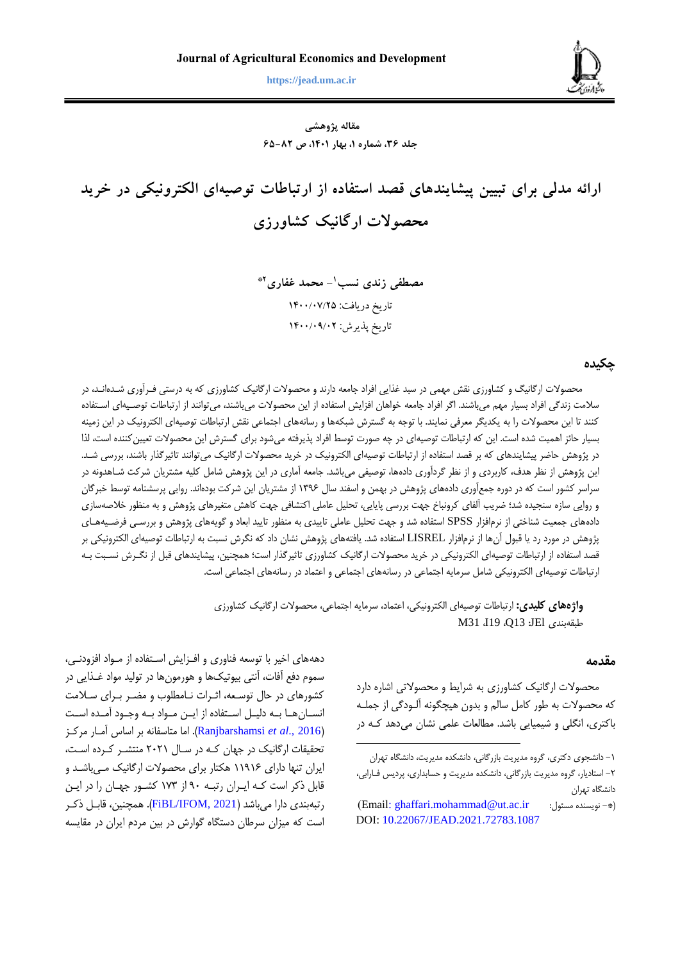

**زندی نسب و غفاری، ارائه مدلی برای تبیین پیشایندهای قصد استفاده از ارتباطات توصیهای الکترونیکی... 66 https://jead.um.ac.ir**

**مقاله پژوهشی جلد ،63 شماره ،1 بهار ،1041 ص 36-28**

**ارائه مدلی برای تبیین پیشایندهای قصد استفاده از ارتباطات توصیهای الکترونیکی در خرید محصوالت ارگانیک کشاورزی**

> **- محمد غفاری <sup>1</sup> مصطفی زندی نسب \*2** تاریخ دریافت: 0077/70/52 تاریخ پذیرش: 0077/70/75

## **چکیده**

محصولات ارگانیگ و کشاورزی نقش مهمی در سبد غذایی افراد جامعه دارند و محصولات ارگانیک کشاورزی که به درستی فـرآوری شـدهانـد، در سلامت زندگی افراد بسیار مهم میباشند. اگر افراد جامعه خواهان افزایش استفاده از این محصولات میباشند، میتوانند از ارتباطات توصـیهای اسـتفاده کنند تا این محصولات را به یکدیگر معرفی نمایند. با توجه به گسترش شبکهها و رسانههای اجتماعی نقش ارتباطات توصیهای الکترونیک در این زمینه بسیار حائز اهمیت شده است. این که ارتباطات توصیهای در چه صورت توسط افراد پذیرفته میشود برای گسترش این محصولات تعیینکننده است، لذا در پژوهش حاضر پیشایندهای که بر قصد استفاده از ارتباطات توصیهای الکترونیک در خرید محصولات ارگانیک میتوانند تاثیرگذار باشند، بررسی شـد. این پژوهش از نظر هدف، کاربردی و از نظر گردآوری دادهها، توصیفی میباشد. جامعه آماری در این پژوهش شامل کلیه مشتریان شرکت شـاهدونه در سراسر کشور است که در دوره جمعآوری دادههای پژوهش در بهمن و اسفند سال ۱۳۹۶ از مشتریان این شرکت بودهاند. روایی پرسشنامه توسط خبرگان و روایی سازه سنجیده شد؛ ضریب آلفای کرونباخ جهت بررسی پایایی، تحلیل عاملی اکتشافی جهت کاهش متغیرهای پژوهش و به منظور خلاصهسازی دادههای جمعیت شناختی از نرمافزار SPSS استفاده شد و جهت تحلیل عاملی تاییدی به منظور تایید ابعاد و گویههای پژوهش و بررسـی فرضـیههـای پژوهش در مورد رد یا قبول آنها از نرمافزار LISREL استفاده شد. یافتههای پژوهش نشان داد که نگرش نسبت به ارتباطات توصیهای الکترونیکی بر قصد استفاده از ارتباطات توصیهای الکترونیکی در خرید محصولات ارگانیک کشاورزی تاثیرگذار است؛ همچنین، پیشایندهای قبل از نگـرش نسـبت بـه ارتباطات توصیهای الکترونیکی دامل سرمایه اجتماعی در رسانههای اجتماعی و اعتماد در رسانههای اجتماعی است.

> **واژههای کلیدی:** ارتباطات توصیهای الکترونیکی اعتماد سرمایه اجتماعی محصوالت ارگانیک کشاورزی M31 I19 Q13 :JEl طبقهبندی

> > $\overline{a}$

#### **مقدمه**

محصولات ارگانیک کشاورزی به شرایط و محصولاتی اشاره دارد که محصولات به طور کامل سالم و بدون هیچگونه آلـودگی از جملـه باکتری، انگلی و شیمیایی باشد. مطالعات علمی نشان میدهد ک4 در

دهههای اخیر با توسعه فناوری و افـزایش اسـتفاده از مـواد افزودنـی، سموم دفع آفات، آنتی بیوتیکها و هورمونها در تولید مواد غـذایی در کشورهای در حال توسعه، اثـرات نـامطلوب و مضـر بـرای سـلامت انســانهــا بــه دلیــل اســتفاده از ایــن مــواد بــه وجــود آمــده اســت )2016 .,*al et* [Ranjbarshamsi](#page-17-0)). اما متاسفانه بر اساس ومرار مرکرز تحقیقات ارگانیک در جهان که در سال ۲۰۲۱ منتشر کرده است، ایران تنها دارای ۱۱۹۱۶ هکتار برای محصولات ارگانیک میباشد و قابل ذکر است کره ایرران رتبره 32 از 679 کشرور جهران را در ایرن رتبهبندی دارا میباشد (FiBL/IFOM, 2021). همچنین، قابل ذکر است که میزان سرطان دستگاه گوارش در بین مردم ایران در مقایسه

<sup>-6</sup> دانشجوی دکتری گرو مدیریت بازرگانی دانشکد مدیریت دانشگا تهران -2 استادیار گرو مدیریت بازرگانی دانشکد مدیریت و حسابداری پردیس فرارابی دانشگاه تهران

<sup>)</sup>Email: [ghaffari.mohammad@ut.ac.ir](Email:%20ghaffari.mohammad@ut.ac.ir%20) :مسئول نویسند -)\* DOI: [10.22067/JEAD.2021.72783.1087](https://dx.doi.org/10.22067/JEAD.2021.72783.1087)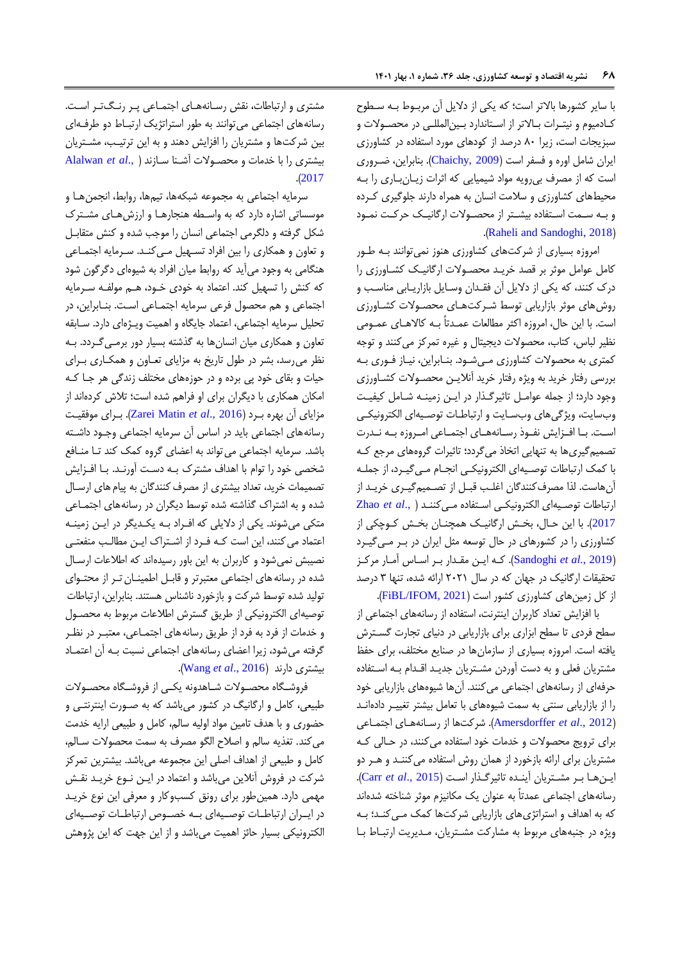با سایر کشورها بالاتر است؛ که یکی از دلایل آن مربـوط بـه سـطوح کادمیوم و نیتـرات بـالاتر از اسـتاندارد بـین|لمللـی در محصـولات و سبزیجات است، زیرا ٨٠ درصد از کودهای مورد استفاده در کشاورزی ایران دامل اور و فسفر است )[2009 ,Chaichy](#page-16-1)). بنابراین ضرروری است که از مصرف بیرویه مواد شیمیایی که اثرات زیـانبـاری را بـه محیطهای کشاورزی و سلامت انسان به همراه دارند جلوگیری کرده و به سـمت اسـتفاده بیشـتر از محصـولات ارگانیـک حرکـت نمـود .([Raheli and](#page-17-1) Sandoghi, 2018)

امروزه بسیاری از شرکتهای کشاورزی هنوز نمی توانند بـه طـور کامل عوامل موثر بر قصد خریرد محصروالت ارگانیرک کشراورزی را درک کنند، که یکی از دلایل آن فقدان وسایل بازاریـابی مناسـب و روشهای موثر بازاریابی توسط شرکتهای محصولات کشاورزی است. با این حال، امروزه اکثر مطالعات عمـدتاً بــه کالاهـای عمـومی نظیر لباس، کتاب، محصولات دیجیتال و غیره تمرکز میکنند و توجه کمتری به محصولات کشاورزی میشود. بنـابراین، نیـاز فـوری بـه بررسی رفتار خرید به ویژه رفتار خرید آنلایـن محصـولات کشـاورزی وجود دارد؛ از جمله عوامرل تاثیرگرذار در ایرن ز مینره درامل کیفیرت وب سایت، ویژگی های وب سایت و ارتباطات توصیهای الکترونیکی است. بـا افـزایش نفـوذ رسـانههـای اجتمـاعی امـروزه بـه نـدرت تصمیمگیریها به تنهایی اتخاذ میگردد؛ تاثیرات گرو های مرجع کره با کمک ارتباطات توصریه ای الکترونیکری انجرام مری گیررد از جملره ونهاست. لذا مصرفکنندگان اغلرب قبرل از تصرمیم گیرری خریرد از ارتباطات توصریه ای الکترونیکری اسرتفاد مری کننرد [\)](#page-17-2) .,*al et* [Zhao](#page-17-2) [2017](#page-17-2)). با این حال، بخش ارگانیک همچنان بخش کروچکی از کشاورزی را در کشورهای در حال توسعه مثل ایران در برر مری گیررد )2019 .,*al et* [Sandoghi](#page-17-3)). کره ایرن مقردار برر اسراس ومرار مرکرز تحقیقات ارگانیک در جهان که در سال ۲۰۲۱ ارائه شده، تنها ۳ درصد از کل زمینهای کشاورزی کشور است (FiBL/IFOM, 2021).

با افزایش تعداد کاربران اینترنت، استفاده از رسانههای اجتماعی از سطح فردی تا سطح ابزاری برای بازاریابی در دنیای تجارت گسرترش یافته است. امروز بسیاری از سازمانها در صنایع مختلف برای حفظ مشتریان فعلی و به دست آوردن مشـتریان جدیـد اقـدام بـه اسـتفاده حرفهای از رسانههای اجتماعی میکنند. آنها شیوههای بازاریابی خود را از بازاریابی سنتی به سمت شیوههای با تعامل بیشتر تغییر دادهاند )2012 .,*al et* [Amersdorffer](#page-16-2)). درکتها از رسرانه هرای اجتمراعی برای ترویج محصولات و خدمات خود استفاده می کنند، در حالی که مشتریان برای ارائه بازخورد از همان روش استفاده می کننـد و هــر دو ایرن هرا برر مشرتریان وینرد تاثیرگرذار اسرت ) [2015 .,](#page-16-3)*al et* Carr). رسانههای اجتماعی عمدتاً به عنوان یک مکانیزم موثر شناخته شدهاند که به اهداف و استراتژیهای بازاریابی درکتها کمک مری کنرد؛ بره ویژه در جنبههای مربوط به مشارکت مشتریان، مدیریت ارتباط با

مشتری و ارتباطات، نقش رسانههای اجتماعی پر رنگ تر است. رسانههای اجتماعی می توانند به طور استراتژیک ارتباط دو طرفهای بین شرکتها و مشتریان را افزایش دهند و به این ترتیـب، مشــتریان بیشتری را با خدمات و محصروالت ودرنا سرازند [\)](#page-16-4) .,*al et* [Alalwan](#page-16-4) .)[2017](#page-16-4)

سرمایه اجتماعی به مجموعه شبکهها، تیمها، روابط، انجمنهـا و موسساتی اشاره دارد که به واسطه هنجارها و ارزش های مشترک دکل گرفته و دلگرمی اجتماعی انسان را موجب دد و کنش متقابرل و تعاون و همکاری را بین افراد تسهیل می کنـد. سـرمایه اجتمـاعی هنگامی به وجود می آید که روابط میان افراد به شیوهای دگرگون شود که کنش را تسهیل کند. اعتماد به خودی خرود هرم مولفره سررمایه اجتماعی و هم محصول فرعی سرمایه اجتمراعی اسرت. بنرابراین در تحلیل سرمایه اجتماعی، اعتماد جایگاه و اهمیت ویـژهای دارد. سـابقه تعاون و همکاری میان انسانها به گذدته بسیار دور برمری گرردد. بره نظر میرسد، بشر در طول تاریخ به مزایای تعـاون و همکـاری بــرای حیات و بقای خود پی برده و در حوزههای مختلف زندگی هر جـا کـه امکان همکاری با دیگران برای او فراهم دد است؛ تالش کرد اند از مزایای آن بهره برد (Zarei Matin *et al.*, 2016). بـرای موفقیت رسانههای اجتماعی باید در اساس آن سرمایه اجتماعی وجـود داشـته باشد. سرمایه اجتماعی می تواند به اعضای گروه کمک کند تا منافع شخصی خود را توام با اهداف مشترک بـه دسـت آورنـد. بـا افـزایش تصمیمات خرید، تعداد بیشتری از مصرف کنندگان به پیام های ارسال شده و به اشتراک گذاشته شده توسط دیگران در رسانههای اجتمـاعی متکی میشوند. یکی از دلایلی که افـراد بـه یکـدیگر در ایـن زمینـه اعتماد می کنند، این است کـه فـرد از اشـتراک ایـن مطالـب منفعتـی نصیبش نمی شود و کاربران به این باور رسیدهاند که اطلاعات ارسـال دد در رسانههای اجتماعی معتبرتر و قابرل اطمینران ترر از محتروای تولید شده توسط شرکت و بازخورد ناشناس هستند. بنابراین، ارتباطات توصیهای الکترونیکی از طریق گسترش اطلاعات مربوط به محصول و خدمات از فرد به فرد از طریق رسانههای اجتمـاعی، معتبـر در نظـر گرفته می شود، زیرا اعضای رسانههای اجتماعی نسبت بـه آن اعتمـاد .)Wang *et al*[., 2016](#page-17-5)( دارند بیشتری

فروشگاه محصـولات شـاهدونه یکـی از فروشـگاه محصـولات طبیعی، کامل و ارگانیگ در کشور میباشد که به صـورت اینترنتـی و حبوری و با هدف تامین مواد اولیه سالم کامل و طبیعی ارایه خدمت میکند. تغذیه سالم و اصلاح الگو مصرف به سمت محصولات سـالم، کامل و طبیعی از اهداف اصلی این مجموعه میبادد. بیشترین تمرکز شرکت در فروش آنلاین میباشد و اعتماد در ایـن نـوع خریـد نقـش مهمی دارد. همینطور برای رونق کسبوکار و معرفی این نوخ خریرد در ایـران ارتباطـات توصـیهای بـه خصـوص ارتباطـات توصـیهای الکترونیکی بسیار حائز اهمیت میباشد و از این جهت که این پژوهش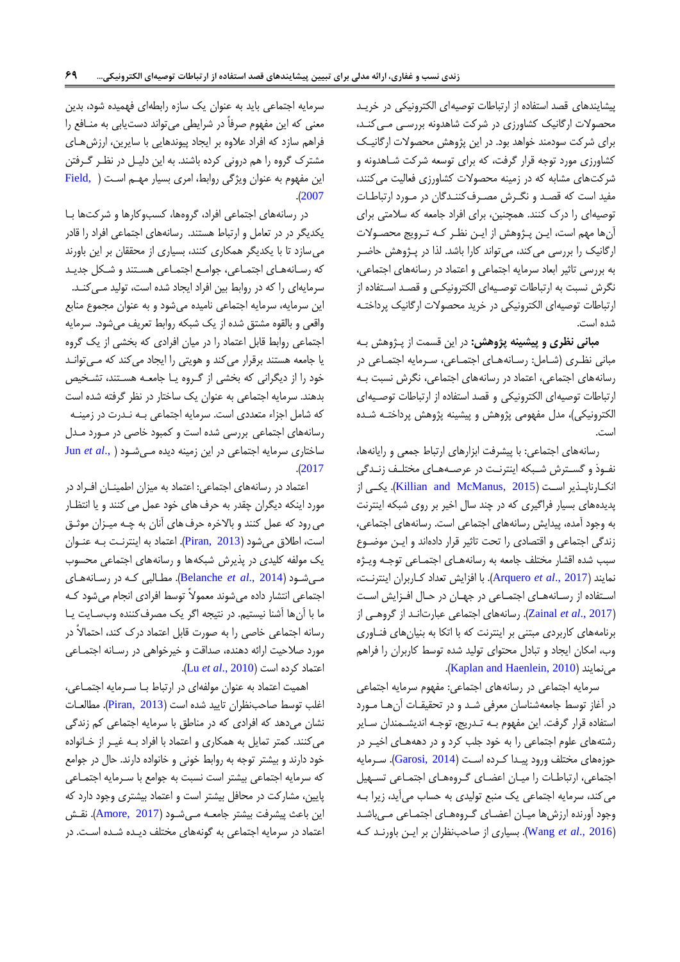پیشایندهای قصد استفاد از ارتباطات توصیهای الکترونیکی در خریرد محصولات ارگانیک کشاورزی در شرکت شاهدونه بررسی می کنـد، برای درکت سودمند خواهد بود. در این پژوهش محصوالت ارگانیرک کشاورزی مورد توجه قرار گرفت، که برای توسعه شرکت شـاهدونه و درکتهای مشابه که در زمینه محصوالت کشاورزی فعالیت میکنند مفید است که قصرد و نگررش مصررف کننردگان در مرورد ارتباطرات توصیهای را درک کنند. همچنین برای افراد جامعه که سالمتی برای ونها مهم است ایرن پرژوهش از ایرن نظرر کره تررویج محصروالت ارگانیک را بررسی میکند، میتواند کارا باشد. لذا در پـژوهش حاضـر به بررسی تاثیر ابعاد سرمایه اجتماعی و اعتماد در رسانههای اجتماعی نگرش نسبت به ارتباطات توصریه ای الکترونیکری و قصرد اسرتفاد از ارتباطات توصیهای الکترونیکی در خرید محصوالت ارگانیک پرداختره دد است.

**مبانی نظری و پیشینه پژوهش:** در این قسمت از پرژوهش بره مبانی نظری (شامل: رسانههای اجتماعی، سرمایه اجتماعی در رسانههای اجتماعی، اعتماد در رسانههای اجتماعی، نگرش نسبت به ارتباطات توصیهای الکترونیکی و قصد استفاد از ارتباطات توصریه ای الکترونیکی)، مدل مفهومی پژوهش و پیشینه پژوهش پرداختـه شـده است.

رسانههای اجتماعی: با پیشرفت ابزارهای ارتباط جمعی و رایانهها، نفوذ و گسترش شبکه اینترنت در عرصـههـای مختلـف زنـدگی انکارناپلذیر است (Killian and McManus, 2015). یک پدیدههای بسیار فراگیری که در چند سال اخیر بر روی شبکه اینترنت به وجود آمده، پیدایش رسانههای اجتماعی است. رسانههای اجتماعی، زندگی اجتماعی و اقتصادی را تحت تاثیر قرار دادهاند و ایـن موضـوع سبب شده اقشار مختلف جامعه به رسانههـای اجتمـاعی توجـه ویـژه نمایند )2017 .,*al et* [Arquero](#page-16-5)). با افزایش تعداد کراربران اینترنرت استفاده از رسانههای اجتماعی در جهان در حال افزایش است )2017 .,*al et* [Zainal](#page-17-2)). رسانههای اجتماعی عبارتانرد از گروهری از برنامههای کاربردی مبتنی بر اینترنت که با اتکا به بنیانهای فنراوری وب، امکان ایجاد و تبادل محتوای تولید شده توسط کاربران را فراهم .)[Kaplan and Haenlein, 2010](#page-17-7)( مینمایند

سرمایه اجتماعی در رسانههای اجتماعی: مفهوم سرمایه اجتماعی در آغاز توسط جامعهشناسان معرفی شد و در تحقیقـات آنهـا مـورد استفاده قرار گرفت. این مفهوم بـه تـدریج، توجـه اندیشـمندان سـایر ردتههای علوم اجتماعی را به خود جلب کرد و در دهههرای اخیرر در حوز های مختلف ورود پیردا کررد اسرت ) [2014 ,Garosi](#page-16-6)). سررمایه اجتماعی، ارتباطات را میان اعضای گروههای اجتماعی تسهیل می کند، سرمایه اجتماعی یک منبع تولیدی به حساب می آید، زیرا ب وجود آورنده ارزشها میان اعضای گروههای اجتماعی می باشد )[2016 .,](#page-17-5)*al et* Wang). بسیاری از صاحبنظران بر ایرن باورنرد کره

سرمایه اجتماعی باید به عنوان یک سازه رابطهای فهمیده شود، بدین معنی که این مفهوم صرفا در درایطی میتواند دستیابی به منرافع را فراهم سازد که افراد علاوه بر ایجاد پیوندهایی با سایرین، ارزشهـای مشترک گروه را هم درونی کرده باشند. به این دلیـل در نظـر گـرفتن این مفهوم به عنوان ویژگی روابط امری بسیار مهرم اسرت ) [,Field](#page-16-7) .)[2007](#page-16-7)

در رسانههای اجتماعی افراد، گروهها، کسبوکارها و شرکتها با یکدیگر در در تعامل و ارتبا هستند. رسانههای اجتماعی افراد را قادر میسازد تا با یکدیگر همکاری کنند بسیاری از محققان بر این باورند که رسانههای اجتماعی، جوامع اجتماعی هستند و شکل جدید سرمایهای را که در روابط بین افراد ایجاد شده است، تولید مهیکنـد. این سرمایه، سرمایه اجتماعی نامیده میشود و به عنوان مجموع منابع واقعی و بالقوه مشتق شده از یک شبکه روابط تعریف میشود. سرمایه اجتماعی روابط قابل اعتماد را در میان افرادی که بخشی از یک گرو یا جامعه هستند برقرار می کند و هویتی را ایجاد می کند که مـی توانـد خود را از دیگرانی که بخشی از گروه یا جامعه هستند، تشخیص بدهند. سرمایه اجتماعی به عنوان یک ساختار در نظر گرفته شده است که شامل اجزاء متعددی است. سرمایه اجتماعی بـه نـدرت در زمینـه رسانههای اجتماعی بررسی شده است و کمبود خاصی در مـورد مـدل ساختاری سرمایه اجتماعی در این زمینه دید مری درود [\)](#page-16-8) .,*[al et](#page-16-8)* Jun .)[2017](#page-16-8)

اعتماد در رسانههای اجتماعی: اعتماد به میزان اطمینران افرراد در مورد اینکه دیگران چقدر به حرف های خود عمل می کنند و یا انتظار می رود که عمل کنند و بالاخره حرف های آنان به چـه میـزان موثـق است، اطلاق میشود (Piran, 2013). اعتماد به اینترنت به عنـوان یک مولفه کلیدی در پذیرش دبکهها و رسانههای اجتماعی محسو مری درود ) 2014 .,*al et* [Belanche](#page-16-9)). مطرالبی کره در رسرانه هرای اجتماعی انتشار داده میشوند معمولاً توسط افرادی انجام میشود کـه ما با آنها آشنا نیستیم. در نتیجه اگر یک مصرفکننده وبسایت یا رسانه اجتماعی خاصی را به صورت قابل اعتماد درک کند احتماال در مورد صلاحیت ارائه دهنده، صداقت و خیرخواهی در رسـانه اجتمـاعی اعتماد کرد است )[2010 .,](#page-17-9)*al et* Lu).

اهمیت اعتماد به عنوان مولفهای در ارتباط با سرمایه اجتماعی، اغلب توسط صاحبنظران تایید شده است (Piran, 2013). مطالعات نشان میدهد که افرادی که در مناطق با سرمایه اجتماعی کم زندگی میکنند. کمتر تمایل به همکاری و اعتماد با افراد بـه غیـر از خـانواده خود دارند و بیشتر توجه به روابط خونی و خانواده دارند. حال در جوامع که سرمایه اجتماعی بیشتر است نسبت به جوامع با سـرمایه اجتمـاعی پایین مشارکت در محافل بیشتر است و اعتماد بیشتری وجود دارد که این باعث پیشرفت بیشتر جامعـه مـیشـود (Amore, 2017). نقش اعتماد در سرمایه اجتماعی به گونههای مختلف دیـده شـده اسـت. در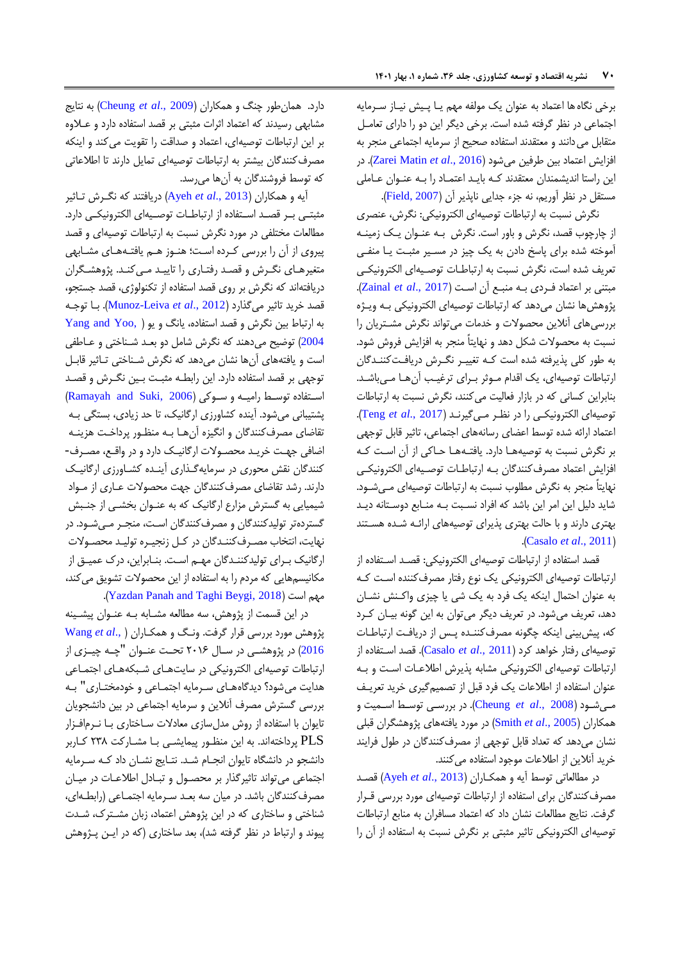برخی نگاه ها اعتماد به عنوان یک مولفه مهم یـا پـیش نیـاز سـرمایه اجتماعی در نظر گرفته شده است. برخی دیگر این دو را دارای تعامـل متقابل می دانند و معتقدند استفاده صحیح از سرمایه اجتماعی منجر به افزایش اعتماد بین طرفین میدود )2016 .,*al et* [Matin Zarei](#page-17-4)). در این راستا اندیشمندان معتقدند کره بایرد اعتمراد را بره عنروان عراملی مستقل در نظر آوریم، نه جزء جدایی ناپذیر آن (Field, 2007).

نگرش نسبت به ارتباطات توصیهای الکترونیکی: نگرش عنصری از چارچوب قصد، نگرش و باور است. نگرش به عنـوان یـک زمینـه آموخته شده برای پاسخ دادن به یک چیز در مسیر مثبت یا منفی تعریف شده است، نگرش نسبت به ارتباطـات توصـیهای الکترونیکـی مبتنی بر اعتماد فرردی بره منبرع ون اسرت )[2017 .,](#page-17-2)*al et* Zainal). پژوهشها نشان میدهد که ارتباطات توصیهای الکترونیکی بره ویرژ بررسی های آنلاین محصولات و خدمات می تواند نگرش مشتریان را نسبت به محصولات شکل دهد و نهایتاً منجر به افزایش فروش شود. به طور کلی پذیرفته شده است کـه تغییـر نگـرش دریافـتکننـدگان ارتباطات توصیهای، یک اقدام موثر برای ترغیب آن ها میباشد. بنابراین کسانی که در بازار فعالیت میکنند، نگرش نسبت به ارتباطات توصیهای الکترونیکری را در نظرر مری گیرنرد ) [2017 .,](#page-17-10)*al et* Teng). اعتماد ارائه شده توسط اعضای رسانههای اجتماعی، تاثیر قابل توجهی بر نگرش نسبت به توصیهها دارد. یافتـههـا حـاکی از آن اسـت کـه افزایش اعتماد مصرف کنندگان بـه ارتباطـات توصـیهای الکترونیکـی نهایتاً منجر به نگرش مطلوب نسبت به ارتباطات توصیهای مـیشـود. شاید دلیل این امر این باشد که افراد نسبت بـه منـابع دوسـتانه دیـد بهتری دارند و با حالت بهتری پذیرای توصیههای ارائـه شـده هسـتند .)[Casalo](#page-16-11) *et al*., 2011(

قصد استفاد از ارتباطات توصیهای الکترونیکی: قصرد اسرتفاد از ارتباطات توصیهای الکترونیکی یک نوع رفتار مصرفکننده است ک به عنوان احتمال اینکه یک فرد به یک دی یا چیزی واکرنش نشران دهد، تعریف میشود. در تعریف دیگر میتوان به این گونه بیـان کـرد که، پیش بینی اینکه چگونه مصرفکننـده پـس از دریافت ارتباطـات توصیهای رفتار خواهد کرد )2011 .,*al et* [Casalo](#page-16-11)). قصد اسرتفاد از ارتباطات توصیهای الکترونیکی مشابه پذیرش اطالعرات اسرت و بره عنوان استفاده از اطلاعات یک فرد قبل از تصمیم گیری خرید تعریـف مریدرود )2008 .,*al et* [Cheung](#page-16-12)). در بررسری توسرط اسرمیت و همکاران )[2005 .,](#page-17-11)*al et* Smith )در مورد یافتههای پژوهشگران قبلی نشان میدهد که تعداد قابل توجهی از مصرفکنندگان در طول فرایند خرید آنلاین از اطلاعات موجود استفاده می کنند.

در مطالعاتی توسط ویه و همکراران ) [2013 .,](#page-16-13)*al et* Ayeh )قصرد مصرفکنندگان برای استفاده از ارتباطات توصیهای مورد بررسی قـرار گرفت. نتایج مطالعات نشان داد که اعتماد مسافران به منابع ارتباطات توصیهای الکترونیکی تاثیر مثبتی بر نگرش نسبت به استفاده از آن را

دارد. همانطور چنگ و همکاران )2009 .,*al et* [Cheung](#page-16-14) )به نتایج مشابهی رسیدند که اعتماد اثرات مثبتی بر قصد استفاده دارد و علاوه بر این ارتباطات توصیهای اعتماد و صداقت را تقویت میکند و اینکه مصرفکنندگان بیشتر به ارتباطات توصیهای تمایل دارند تا اطالعاتی که توسط فروشندگان به آنها میرسد.

ویه و همکاران )[2013 .,](#page-16-13)*al et* Ayeh )دریافتند که نگررش تراثیر مثبتی بر قصد استفاده از ارتباطات توصیهای الکترونیکی دارد. مطالعات مختلفی در مورد نگرش نسبت به ارتباطات توصیهای و قصد پیروی از آن را بررسی کرده است؛ هنـوز هـم یافتـههـای مشـابهی متغیرهـای نگـرش و قصـد رفتـاری را تاییـد مـی کنـد. پژوهشـگران دریافتهاند که نگرش بر روی قصد استفاده از تکنولوژی، قصد جستجو، قصد خرید تاثیر میگذارد )2012 .,*al et* [Leiva-Munoz](#page-17-12)). برا توجره  $Yang and Yoo, )$  به ارتباط بین نگرش و قصد استفاده، یانگ و یو [2004](#page-17-13)) توضیح میدهند که نگرش شامل دو بعد شناختی و عـاطفی است و یافتههای آنها نشان میدهد که نگرش شناختی تـاثیر قابـل توجهی بر قصد استفاده دارد. این رابطـه مثبـت بـین نگـرش و قصـد استفاده توسط رامیه و سوکی (Ramayah and Suki, 2006) پشتیبانی میشود. آینده کشاورزی ارگانیک، تا حد زیادی، بستگی بـه تقاضای مصرفکنندگان و انگیزه آنهـا بـه منظـور پرداخـت هزینـه اضافی جهرت خریرد محصروالت ارگانیرک دارد و در واقرع مصررف - کنندگان نقش محوری در سرمایهگذاری آینـده کشـاورزی ارگانیـک دارند. رشد تقاضای مصرفکنندگان جهت محصولات عـاری از مـواد دیمیایی به گسترش مزارخ ارگانیک که به عنروان بخشری از جنربش گستردهتر تولیدکنندگان و مصرفکنندگان است، منجـر مـیشـود. در نهایت، انتخاب مصـرف کننـدگان در کـل زنجیـره تولیـد محصـولات ارگانیک بررای تولیدکننردگان مهرم اسرت. بنرابراین درک عمیرق از مکانیسمهایی که مردم را به استفاد از این محصوالت تشویق میکند .)[Yazdan Panah and Taghi Beygi, 2018](#page-17-15)( است مهم

در این قسمت از پژوهش، سه مطالعه مشـابه بـه عنـوان پیشـینه پژوهش مورد بررسی قرار گرفت. ونرگ و همکراران [\)](#page-17-5) .,*al et* [Wang](#page-17-5) [2016](#page-17-5)( در پژوهشرری در سررال 2261 تحررت عنروان "چرره چیررزی از ارتباطات توصیهای الکترونیکی در سایتهرای دربکه هرای اجتمراعی هدایت می شود؟ دیدگاههـای سـرمایه اجتمـاعی و خودمختـاری" بـه بررسی گسترش مصرف آنلاین و سرمایه اجتماعی در بین دانشجویان تایوان با استفاده از روش مدلسازی معادلات ساختاری بـا نـرمافـزار PLS پرداختهاند. به این منظرور پیمایشری برا مشرارکت 290 کراربر دانشجو در دانشگاه تایوان انجـام شـد. نتـایج نشــان داد کــه ســرمایه اجتماعی می تواند تاثیرگذار بر محصول و تبادل اطلاعات در میان مصرفکنندگان باشد. در میان سه بعـد سـرمایه اجتمـاعی (رابطـهای، شناختی و ساختاری که در این پژوهش اعتماد، زبان مشـترک، شـدت پیوند و ارتباط در نظر گرفته شد)، بعد ساختاری (که در ایـن پـژوهش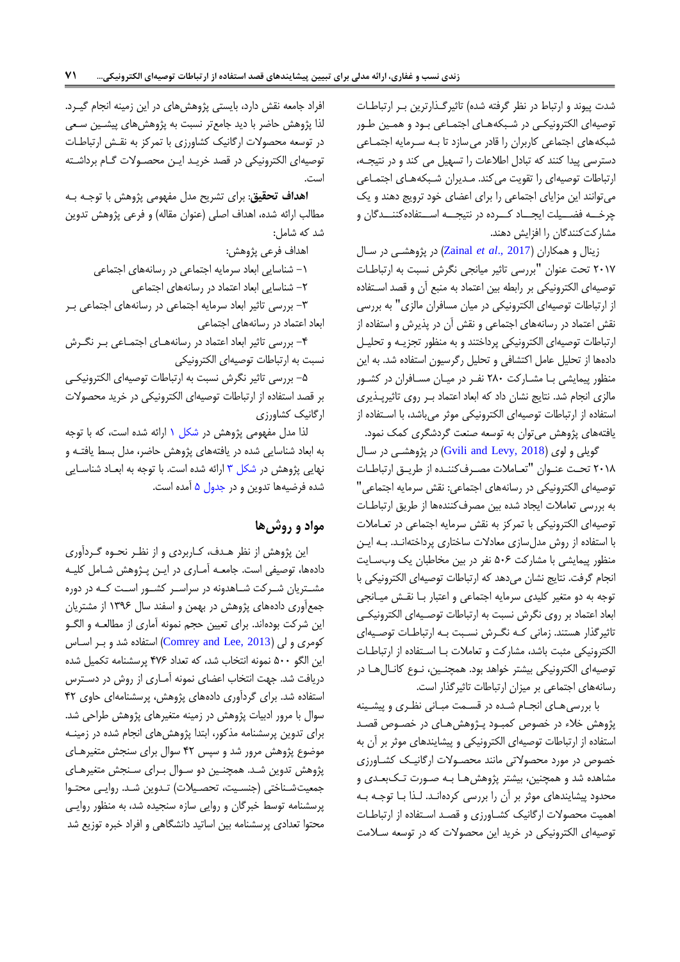شدت پیوند و ارتباط در نظر گرفته شده) تاثیرگذارترین به ارتباطات توصیهای الکترونیکی در شبکههای اجتماعی بـود و همـین طـور دبکههای اجتماعی کاربران را قادر میسازد تا بره سررمایه اجتمراعی دسترسی پیدا کنند که تبادل اطلاعات را تسهیل می کند و در نتیجه، ارتباطات توصیهای را تقویت می کند. مـدیران شـبکههـای اجتمـاعی میتوانند این مزایای اجتماعی را برای اعبای خود ترویج دهند و یک چرخــه فضـــيلت ايجـــاد كـــرده در نتيجـــه اســـتفادهكننـــدگان و مشارکتکنندگان را افزایش دهند.

زینال و همکاران )[2017 .,](#page-17-2)*al et* Zainal )در پژوهشری در سرال 2267 تحت عنوان "بررسی تاثیر میانجی نگرش نسبت به ارتباطرات توصیهای الکترونیکی بر رابطه بین اعتماد به منبع آن و قصد استفاده از ارتباطات توصیهای الکترونیکی در میان مسافران مالزی" به بررسی نقش اعتماد در رسانههای اجتماعی و نقش آن در پذیرش و استفاده از ارتباطات توصیهای الکترونیکی پرداختند و به منظور تجزیره و تحلیرل دادهها از تحلیل عامل اکتشافی و تحلیل رگرسیون استفاده شد. به این منظور پیمایشی با مشارکت ۲۸۰ نفر در میان مسافران در کشور مالزی انجام شد. نتایج نشان داد که ابعاد اعتماد بر روی تاثیرپذیری استفاده از ارتباطات توصیهای الکترونیکی موثر میباشد، با استفاده از یافتههای پژوهش میتوان به توسعه صنعت گرددگری کمک نمود.

گویلی و لوی (2018 Gvili and Levy, 20بلی و لوی (2018 )در پژوهشی در سال ٢٠١٨ تحت عنـوان "تعـاملات مصـرفکننـده از طريـق ارتباطـات توصیهای الکترونیکی در رسانههای اجتماعی: نقش سرمایه اجتماعی" به بررسی تعاملات ایجاد شده بین مصرفکنندهها از طریق ارتباطات توصیهای الکترونیکی با تمرکز به نقش سرمایه اجتماعی در تعرامالت با استفاده از روش مدلسازی معادلات ساختاری پرداختهانـد. بـه ایـن منظور پیمایشی با مشارکت 621 نفر در بین مخاطبان یک و سرایت انجام گرفت. نتایج نشان میدهد که ارتباطات توصیهای الکترونیکی با توجه به دو متغیر کلیدی سرمایه اجتماعی و اعتبار برا نقرش میرانجی ابعاد اعتماد بر روی نگرش نسبت به ارتباطات توصیهای الکترونیکی تاثیرگذار هستند. زمانی که نگرش نسبت به ارتباطات توصیهای الکترونیکی مثبت باشد، مشارکت و تعاملات بـا اسـتفاده از ارتباطـات توصیهای الکترونیکی بیشتر خواهد بود. همچنرین نروخ کانرال هرا در رسانههای اجتماعی بر میزان ارتباطات تاثیرگذار است.

با بررسی های انجام شده در قسمت مبانی نظری و پیشینه پژوهش خالء در خصوت کمبرود پرژوهش هرای در خصروت قصرد استفاده از ارتباطات توصیهای الکترونیکی و پیشایندهای موثر بر آن به خصوص در مورد محصولاتی مانند محصـولات ارگانیـک کشـاورزی مشاهده شد و همچنین، بیشتر پژوهش هـا بـه صـورت تـکبعـدی و محدود پیشایندهای موثر بر آن را بررسی کردهانـد. لـذا بـا توجـه بـه اهمیت محصوالت ارگانیک کشراورزی و قصرد اسرتفاد از ارتباطرات توصیهای الکترونیکی در خرید این محصوالت که در توسعه سرالمت

افراد جامعه نقش دارد بایستی پژوهشهای در این زمینه انجام گیررد. لذا پژوهش حاضر با دید جامعتر نسبت به پژوهشهای پیشرین سرعی در توسعه محصوالت ارگانیک کشاورزی با تمرکز به نقرش ارتباطرات توصیهای الکترونیکی در قصد خریـد ایـن محصـولات گـام برداشـته است.

**اهداف تحقیق**: برای تشریح مدل مفهومی پژوهش با توجره بره مطالب ارائه شده، اهداف اصلی (عنوان مقاله) و فرعی پژوهش تدوین دد که دامل:

اهداف فرعی پژوهش:

-6 دناسایی ابعاد سرمایه اجتماعی در رسانههای اجتماعی

-2 دناسایی ابعاد اعتماد در رسانههای اجتماعی

-9 بررسی تاثیر ابعاد سرمایه اجتماعی در رسانههای اجتماعی برر ابعاد اعتماد در رسانههای اجتماعی

-4 بررسی تاثیر ابعاد اعتماد در رسانههرای اجتمراعی برر نگررش نسبت به ارتباطات توصیهای الکترونیکی

-6 بررسی تاثیر نگرش نسبت به ارتباطات توصیهای الکترونیکری بر قصد استفاد از ارتباطات توصیهای الکترونیکی در خرید محصوالت ارگانیک کشاورزی

لذا مدل مفهومی پژوهش در شکل ۱ ارائه شده است، که با توجه به ابعاد شناسایی شده در یافتههای پژوهش حاضر، مدل بسط یافتـه و نهایی پژوهش در شکل ۳ ارائه شده است. با توجه به ابعـاد شناسـایی شده فرضیهها تدوین و در جدول ۵ آمده است.

## **مواد و روشها**

این پژوهش از نظر هدف، کاربردی و از نظر نحـوه گـردآوری دادهها، توصیفی است. جامعـه آمـاری در ایــن پــژوهش شــامل کلیــه مشـتریان شـرکت شـاهدونه در سراسـر کشـور اسـت کـه در دوره جمع آوری دادههای پژوهش در بهمن و اسفند سال ۱۳۹۶ از مشتریان این شرکت بودهاند. برای تعیین حجم نمونه آماری از مطالعـه و الگـو کومری و لی (Comrey and Lee, 2013) استفاده شد و بر اساس این الگو ۵۰۰ نمونه انتخاب شد، که تعداد ۴۷۶ پرسشنامه تکمیل شده دریافت شد. جهت انتخاب اعضای نمونه آمـاری از روش در دسـترس استفاده شد. برای گردآوری دادههای پژوهش، پرسشنامهای حاوی ۴۲ سوال با مرور ادبیات پژوهش در زمینه متغیرهای پژوهش طراحی شد. برای تدوین پرسشنامه مذکور، ابتدا پژوهش های انجام شده در زمینـه موضوخ پژوهش مرور دد و سپس 42 سوال برای سنجش متغیرهرای پژوهش تدوین شد. همچنین دو سـوال بـرای سـنجش متغیرهـای جمعیتشناختی (جنسیت، تحصیلات) تدوین شد. روایی محتوا پرسشنامه توسط خبرگان و روایی سازه سنجیده شد، به منظور روایی محتوا تعدادی پرسشنامه بین اساتید دانشگاهی و افراد خبره توزیع شد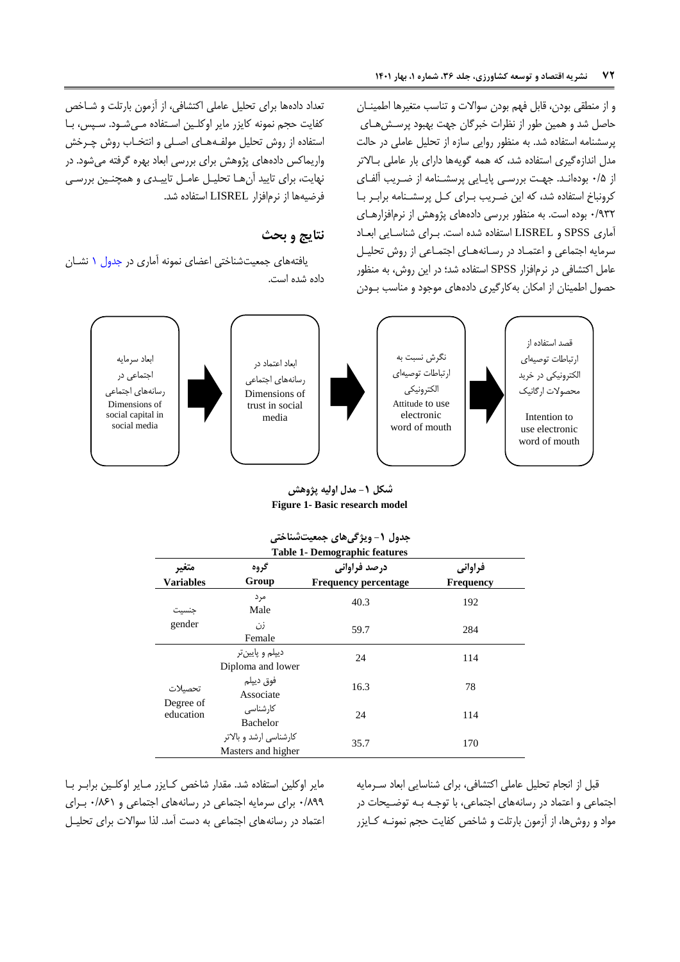و از منطقی بودن قابل فهم بودن سواالت و تناسب متغیرها اطمینران حاصل شد و همین طور از نظرات خبرگان جهت بهبود پرسش هـای پرسشنامه استفاده شد. به منظور روایی سازه از تحلیل عاملی در حالت مدل اندازه گیری استفاده شد، که همه گویهها دارای بار عاملی بالاتر از 10+ بودهاند. جهت بررسی پایایی پرسشنامه از ضریب آلفای کرونباخ استفاده شد، که این ضـریب بـرای کـل پرسشـنامه برابـر بـا 2/392 بود است. به منظور بررسی داد های پژوهش از نرمافزارهرای آماری SPSS و LISREL استفاده شده است. بـرای شناسـایی ابعـاد سرمایه اجتماعی و اعتمراد در رسرانه هرای اجتمراعی از روش تحلیرل عامل اکتشافی در نرمافزار SPSS استفاد دد؛ در این روش به منظور حصول اطمینان از امکان بهکارگیری داد های موجود و مناسب برودن

تعداد دادهها برای تحلیل عاملی اکتشافی، از آزمون بارتلت و شـاخص کفایت حجم نمونه کایزر مایر اوکلین استفاده می شـود. سـپس، بـا استفاده از روش تحلیل مولف4های اصلی و انتخـاب روش چـرخش واریماکس دادههای پژوهش برای بررسی ابعاد بهره گرفته میشود. در نهایت، برای تایید آنها تحلیل عامل تاییدی و همچنین بررسی فرضیهها از نرمافزار LISREL استفاده شد.

## **نتایج و بحث**

یافتههای جمعیتشناختی اعضای نمونه آماری در جدول ١ نشان داده شده است.



<span id="page-7-0"></span>**شکل -1 مدل اولیه پژوهش Figure 1- Basic research model**

|                           | جنون ڪري سي جيڪ سنڌ                                                                                                                 |      |     |  |  |  |  |
|---------------------------|-------------------------------------------------------------------------------------------------------------------------------------|------|-----|--|--|--|--|
| متغير<br><b>Variables</b> | <b>Table 1- Demographic features</b><br>درصد فراوانی<br>گروه<br>فراواني<br>Group<br><b>Frequency percentage</b><br><b>Frequency</b> |      |     |  |  |  |  |
| جنسيت                     | مر د<br>Male                                                                                                                        | 40.3 | 192 |  |  |  |  |
| gender                    | زن<br>Female                                                                                                                        | 59.7 | 284 |  |  |  |  |
|                           | دییلم و پایین تر<br>Diploma and lower                                                                                               | 24   | 114 |  |  |  |  |
| تحصيلات                   | فوق دييلم<br>Associate                                                                                                              | 16.3 | 78  |  |  |  |  |
| Degree of<br>education    | کار شناسے ،<br>Bachelor                                                                                                             | 24   | 114 |  |  |  |  |
|                           | کارشناسی ارشد و بالاتر<br>Masters and higher                                                                                        | 35.7 | 170 |  |  |  |  |

<span id="page-7-1"></span>

| جدول ۱- ویژگیهای جمعیتشناختی         |  |
|--------------------------------------|--|
| <b>Table 1- Demographic features</b> |  |

مایر اوکلین استفاده شد. مقدار شاخص کـایزر مـایر اوکلـین برابـر بـا 2/033 برای سرمایه اجتماعی در رسانههای اجتماعی و 2/016 بررای اعتماد در رسانههای اجتماعی به دست آمد. لذا سوالات برای تحلیل قبل از انجام تحلیل عاملی اکتشافی، برای شناسایی ابعاد سرمایه اجتماعی و اعتماد در رسانههای اجتماعی، با توجـه بـه توضـيحات در مواد و روشها، از آزمون بارتلت و شاخص کفایت حجم نمونـه کـایزر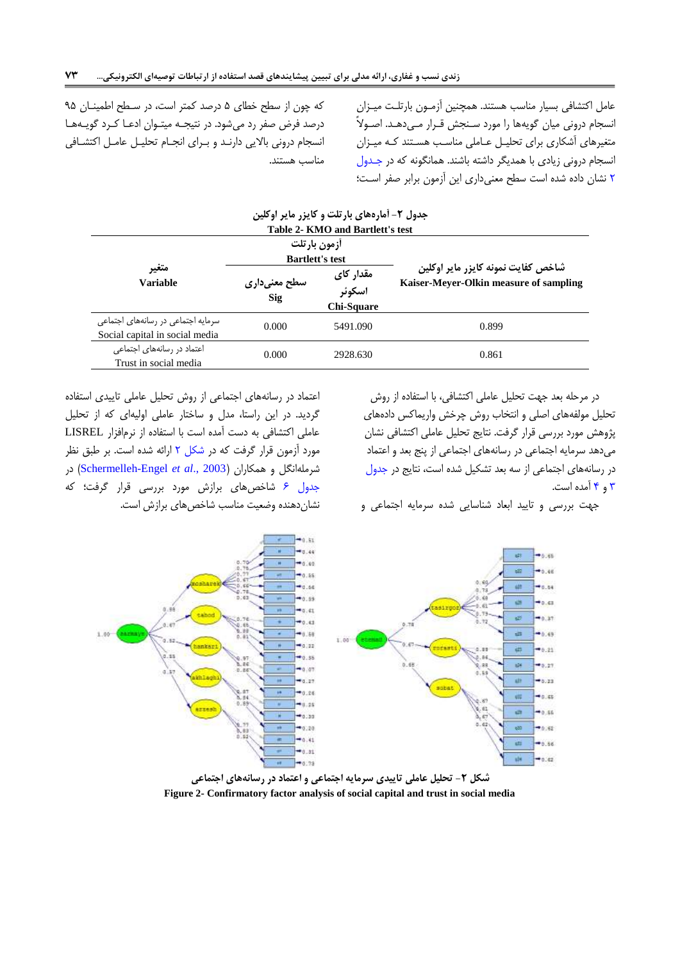عامل اکتشافی بسیار مناسب هستند. همچنین آزمـون بارتلـت میـزان انسجام درونی میان گویهها را مورد سرنجش قررار مری دهرد. اصروال متغیرهای آشکاری برای تحلیـل عـاملی مناسب هسـتند کـه میـزان انسجام درونی زیادی با همدیگر داشته باشند. همانگونه که در جدول [2](#page-8-0) نشان داد دد است سطح معنیداری این وزمون برابر صفر اسرت؛

که چون از سطح خطای 6 درصد کمتر است در سرطح اطمینران 36 درصد فرض صفر رد میدود. در نتیجره میتروان ادعرا کررد گویره هرا انسجام درونی باالیی دارنرد و بررای انجرام تحلیرل عامرل اکتشرافی مناسب هستند.

<span id="page-8-0"></span>

|                                                                      |                                        | جدول ۲– امارههای بارتلت و کایزر مایر اوکلین |                                                                              |  |  |
|----------------------------------------------------------------------|----------------------------------------|---------------------------------------------|------------------------------------------------------------------------------|--|--|
|                                                                      |                                        | Table 2- KMO and Bartlett's test            |                                                                              |  |  |
|                                                                      | أزمون بارتلت<br><b>Bartlett's test</b> |                                             |                                                                              |  |  |
| متغير<br><b>Variable</b>                                             | سطح معنیداری<br>Sig                    | مقدار کای<br>اسكوئر<br>Chi-Square           | شاخص كفايت نمونه كايزر ماير اوكلين<br>Kaiser-Meyer-Olkin measure of sampling |  |  |
| سرمایه اجتماعی در رسانههای اجتماعی<br>Social capital in social media | 0.000                                  | 5491.090                                    | 0.899                                                                        |  |  |
| اعتماد در رسانههای اجتماعی<br>Trust in social media                  | 0.000                                  | 2928.630                                    | 0.861                                                                        |  |  |

در مرحله بعد جهت تحلیل عاملی اکتشافی با استفاد از روش تحلیل مولفههای اصلی و انتخاب روش چرخش واریماکس دادههای پژوهش مورد بررسی قرار گرفت. نتایج تحلیل عاملی اکتشافی نشان میدهد سرمایه اجتماعی در رسانههای اجتماعی از پنج بعد و اعتماد در رسانههای اجتماعی از سه بعد تشکیل دد است نتایج در [جدول](#page-9-0)  [9](#page-9-0) و [4](#page-10-0) ومد است.

جهت بررسی و تایید ابعاد دناسایی دد سرمایه اجتماعی و

اعتماد در رسانههای اجتماعی از روش تحلیل عاملی تاییدی استفاد گردید. در این راستا مدل و ساختار عاملی اولیهای که از تحلیل عاملی اکتشافی به دست آمده است با استفاده از نرمافزار LISREL مورد آزمون قرار گرفت که در شکل ۲ ارائه شده است. بر طبق نظر درملهانگل و همکاران )2003 .,*al et* [Engel-Schermelleh](#page-17-16) )در جدول ۶ شاخصهای برازش مورد بررسی قرار گرفت؛ که نشان دهنده وضعیت مناسب شاخص های برازش است.



**شکل -2 تحلیل عاملی تاییدی سرمایه اجتماعی و اعتماد در رسانههای اجتماعی Figure 2- Confirmatory factor analysis of social capital and trust in social media**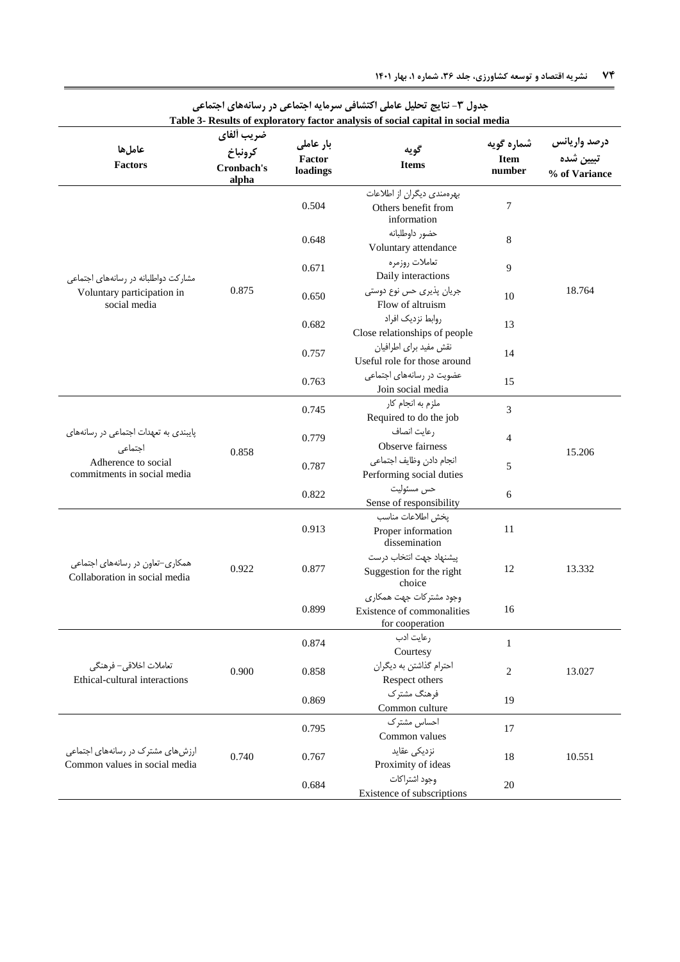|                                                                    |                                              |                                 | Table 3- Results of exploratory factor analysis of social capital in social media |                                     |                                            |
|--------------------------------------------------------------------|----------------------------------------------|---------------------------------|-----------------------------------------------------------------------------------|-------------------------------------|--------------------------------------------|
| عاملها<br><b>Factors</b>                                           | ضريب ألفاي<br>كرونباخ<br>Cronbach's<br>alpha | بار عاملی<br>Factor<br>loadings | گويه<br><b>Items</b>                                                              | شماره گویه<br><b>Item</b><br>number | درصد واريانس<br>تبيين شده<br>% of Variance |
|                                                                    |                                              | 0.504                           | بهرهمندی دیگران از اطلاعات<br>Others benefit from<br>information                  | 7                                   |                                            |
|                                                                    |                                              | 0.648                           | حضور داوطلبانه<br>Voluntary attendance                                            | 8                                   |                                            |
| مشارکت دواطلبانه در رسانههای اجتماعی                               |                                              | 0.671                           | تعاملات روزمره<br>Daily interactions                                              | 9                                   |                                            |
| Voluntary participation in<br>social media                         | 0.875                                        | 0.650                           | جریان پذیری حس نوع دوستی<br>Flow of altruism                                      | 10                                  | 18.764                                     |
|                                                                    |                                              | 0.682                           | روابط نزديك افراد<br>Close relationships of people                                | 13                                  |                                            |
|                                                                    |                                              | 0.757                           | نقش مفيد براي اطرافيان<br>Useful role for those around                            | 14                                  |                                            |
|                                                                    |                                              | 0.763                           | عضویت در رسانههای اجتماعی<br>Join social media                                    | 15                                  |                                            |
|                                                                    |                                              | 0.745                           | ملزم به انجام کار<br>Required to do the job                                       | 3                                   |                                            |
| پایبندی به تعهدات اجتماعی در رسانههای<br>اجتماعى                   | 0.858                                        | 0.779                           | رعايت انصاف<br>Observe fairness                                                   | 4                                   | 15.206                                     |
| Adherence to social<br>commitments in social media                 |                                              | 0.787                           | انجام دادن وظايف اجتماعي<br>Performing social duties                              | 5                                   |                                            |
|                                                                    |                                              | 0.822                           | حس مسئوليت<br>Sense of responsibility                                             | 6                                   |                                            |
|                                                                    |                                              | 0.913                           | يخش اطلاعات مناسب<br>Proper information<br>dissemination                          | 11                                  |                                            |
| همکاری–تعاون در رسانههای اجتماعی<br>Collaboration in social media  | 0.922                                        | 0.877                           | پیشنهاد جهت انتخاب درست<br>Suggestion for the right<br>choice                     | 12                                  | 13.332                                     |
|                                                                    |                                              | 0.899                           | وجود مشتر کات جهت همکاری<br>Existence of commonalities<br>for cooperation         | 16                                  |                                            |
|                                                                    |                                              | 0.874                           | رعايت ادب<br>Courtesy                                                             | $\mathbf{1}$                        |                                            |
| تعاملات اخلاقى– فرهنگى<br>Ethical-cultural interactions            | 0.900                                        | 0.858                           | احترام گذاشتن به دیگران<br>Respect others                                         | 2                                   | 13.027                                     |
|                                                                    |                                              | 0.869                           | فرهنگ مشترک<br>Common culture                                                     | 19                                  |                                            |
|                                                                    |                                              | 0.795                           | احساس مشترك<br>Common values                                                      | 17                                  |                                            |
| ارزشهای مشترک در رسانههای اجتماعی<br>Common values in social media | 0.740                                        | 0.767                           | نزدیکی عقاید<br>Proximity of ideas                                                | 18                                  | 10.551                                     |
|                                                                    |                                              | 0.684                           | وجود اشتراكات<br>Existence of subscriptions                                       | 20                                  |                                            |

# <span id="page-9-0"></span>جدول **۳**- نتایج تحلیل عاملی اکتشافی سرمایه اجتماعی در رسانههای اجتماعی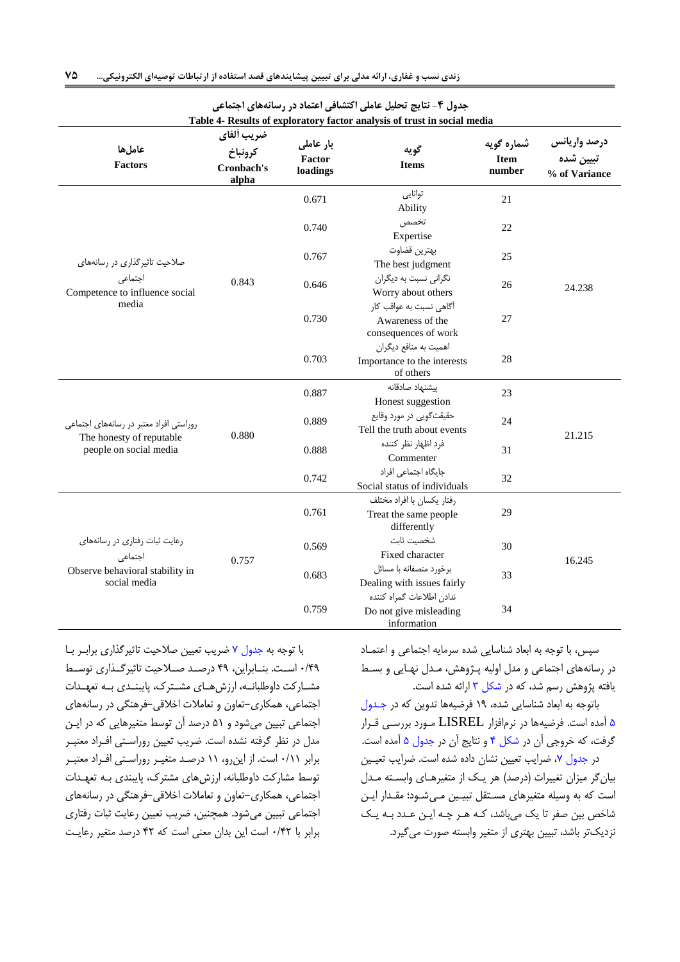<span id="page-10-0"></span>

|                                                    |                                              |                                 | جدول ۴- نتایج تحلیل عاملی اکتشافی اعتماد در رسانههای اجتماعی             |                                     |                                            |  |
|----------------------------------------------------|----------------------------------------------|---------------------------------|--------------------------------------------------------------------------|-------------------------------------|--------------------------------------------|--|
|                                                    |                                              |                                 | Table 4- Results of exploratory factor analysis of trust in social media |                                     |                                            |  |
| عاملها<br><b>Factors</b>                           | ضريب ألفاي<br>كرونباخ<br>Cronbach's<br>alpha | بار عاملی<br>Factor<br>loadings | گويه<br><b>Items</b>                                                     | شماره گویه<br><b>Item</b><br>number | درصد واريانس<br>تبيين شده<br>% of Variance |  |
|                                                    |                                              | 0.671                           | توانايى<br>Ability                                                       | 21                                  |                                            |  |
|                                                    |                                              | 0.740                           | تخصص<br>Expertise                                                        | 22                                  |                                            |  |
| صلاحیت تاثیرگذاری در رسانههای                      |                                              | 0.767                           | بهترين قضاوت<br>The best judgment                                        | 25                                  |                                            |  |
| اجتماعى<br>Competence to influence social          | 0.843                                        | 0.646                           | نگرانی نسبت به دیگران<br>Worry about others                              | 26                                  | 24.238                                     |  |
| media                                              |                                              | 0.730                           | آگاهی نسبت به عواقب کار<br>Awareness of the<br>consequences of work      | 27                                  |                                            |  |
|                                                    |                                              | 0.703                           | اهمیت به منافع دیگران<br>Importance to the interests<br>of others        | 28                                  |                                            |  |
|                                                    |                                              | 0.887                           | ييشنهاد صادقانه<br>Honest suggestion                                     | 23                                  |                                            |  |
| روراستی افراد معتبر در رسانههای اجتماعی            | 0.880                                        | 0.889                           | حقیقت گویی در مورد وقایع<br>Tell the truth about events                  | 24                                  | 21.215                                     |  |
| The honesty of reputable<br>people on social media |                                              |                                 | 0.888                                                                    | فرد اظهار نظر كننده<br>Commenter    | 31                                         |  |
|                                                    |                                              | 0.742                           | جایگاه اجتماعی افراد<br>Social status of individuals                     | 32                                  |                                            |  |
|                                                    |                                              | 0.761                           | رفتار يكسان با افراد مختلف<br>Treat the same people<br>differently       | 29                                  |                                            |  |
| رعایت ثبات رفتاری در رسانههای<br>اجتماعى           | 0.757                                        | 0.569                           | شخصيت ثابت<br>Fixed character                                            | 30                                  | 16.245                                     |  |
| Observe behavioral stability in<br>social media    |                                              | 0.683                           | برخورد منصفانه با مسائل<br>Dealing with issues fairly                    | 33                                  |                                            |  |
|                                                    |                                              | 0.759                           | ندادن اطلاعات گمراه كننده<br>Do not give misleading<br>information       | 34                                  |                                            |  |

با توجه به [جدول 7](#page-14-1) ضریب تعیین صالحیت تاثیرگذاری برابرر برا 2/43 اسررت. بنررابراین 43 درصررد صررالحیت تاثیرگررذاری توسررط مشارکت داوطلبانه، ارزشهای مشترک، پایبندی به تعهدات اجتماعی همکاری-تعاون و تعامالت اخالقی-فرهنگی در رسانههای اجتماعی تبیین می شود و ۵۱ درصد آن توسط متغیرهایی که در ایـن مدل در نظر گرفته نشد است. ضریب تعیین روراسرتی افرراد معتبرر برابر 2/66 است. از اینرو 66 درصرد متغیرر روراسرتی افرراد معتبرر توسط مشارکت داوطلبانه، ارزشهای مشترک، پایبندی بـه تعهـدات اجتماعی، همکاری-تعاون و تعاملات اخلاقی-فرهنگی در رسانههای اجتماعی تبیین میشود. همچنین، ضریب تعیین رعایت ثبات رفتاری برابر با 2/42 است این بدان معنی است که 42 درصد متغیر رعایرت

<span id="page-10-1"></span>سپس، با توجه به ابعاد شناسایی شده سرمایه اجتماعی و اعتمـاد در رسانههای اجتماعی و مدل اولیه پرژوهش مردل نهرایی و بسرط یافته پژوهش رسم شد، که در شکل ۳ ارائه شده است.

باتوجه به ابعاد شناسایی شده، ۱۹ فرضیهها تدوین که در جدول [6](#page-12-0) ومد است. فرضیهها در نرمافزار LISREL مرورد بررسری قررار گرفت، که خروجی آن در شکل ۴ و نتایج آن در جدول ۵ آمده است. در جدول ٧، ضرایب تعیین نشان داده شده است. ضرایب تعیین بیانگر میزان تغییرات (درصد) هر یک از متغیرهـای وابسـته مـدل است که به وسیله متغیرهای مستقل تبیین می شود؛ مقدار این شاخص بین صفر تا یک میباشد، کـه هـر چـه ایـن عـدد بـه یـک نزدیکتر بادد تبیین بهتری از متغیر وابسته صورت میگیرد.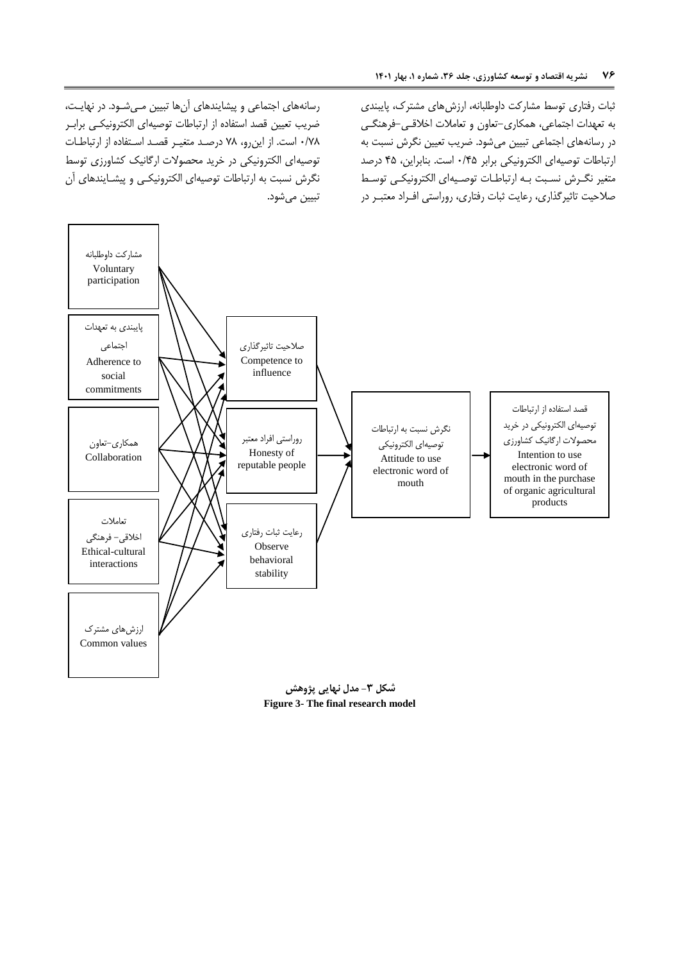ثبات رفتاری توسط مشارکت داوطلبانه، ارزش های مشترک، پایبندی به تعهدات اجتماعی همکاری-تعاون و تعامالت اخالقری -فرهنگری در رسانههای اجتماعی تبیین میشود. ضریب تعیین نگرش نسبت به ارتباطات توصیهای الکترونیکی برابر 2/46 است. بنابراین 46 درصد متغیر نگررش نسربت بره ارتباطرات توصریه ای الکترونیکری توسرط صلاحیت تاثیرگذاری، رعایت ثبات رفتاری، روراستی افـراد معتبـر در

رسانههای اجتماعی و پیشایندهای آنها تبیین مے شود. در نهایت، ضریب تعیین قصد استفاد از ارتباطات توصیهای الکترونیکری برابرر 2/70 است. از اینرو 70 درصرد متغیرر قصرد اسرتفاد از ارتباطرات توصیهای الکترونیکی در خرید محصوالت ارگانیک کشاورزی توسط نگرش نسبت به ارتباطات توصیهای الکترونیکی و پیشـایندهای آن تبیین می شود.



<span id="page-11-0"></span>**Figure 3- The final research model**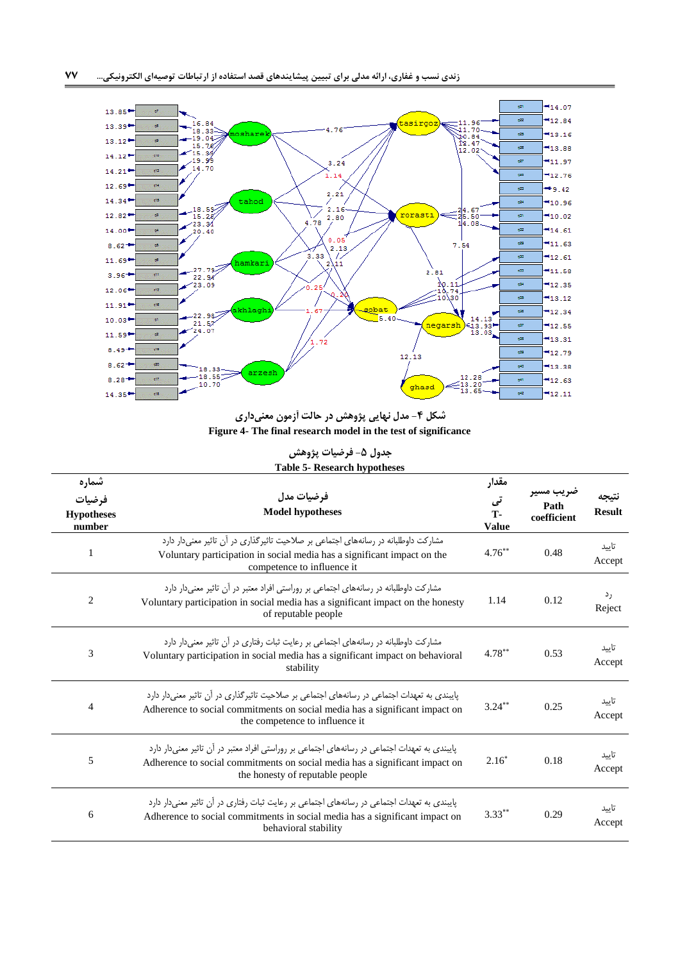

<span id="page-12-1"></span>**شکل -4 مدل نهایی پژوهش در حالت آزمون معنیداری Figure 4- The final research model in the test of significance**

<span id="page-12-0"></span>**جدول -5 فرضیات پژوهش Table 5- Research hypotheses**

| شماره<br>فرضيات<br><b>Hypotheses</b><br>number | فرضيات مدل<br><b>Model hypotheses</b>                                                                                                                                                                            | مقدار<br>تی<br><b>T-</b><br><b>Value</b> | صريب مسير<br>Path<br>coefficient | <b>Result</b>   |
|------------------------------------------------|------------------------------------------------------------------------------------------------------------------------------------------------------------------------------------------------------------------|------------------------------------------|----------------------------------|-----------------|
| 1                                              | مشارکت داوطلبانه در رسانههای اجتماعی بر صلاحیت تاثیرگذاری در آن تاثیر معنیدار دارد<br>Voluntary participation in social media has a significant impact on the<br>competence to influence it                      | $4.76***$                                | 0.48                             | تاىىد<br>Accept |
| 2                                              | مشارکت داوطلبانه در رسانههای اجتماعی بر روراستی افراد معتبر در آن تاثیر معنی دار دارد<br>Voluntary participation in social media has a significant impact on the honesty<br>of reputable people                  | 1.14                                     | 0.12                             | رد<br>Reject    |
| 3                                              | مشارکت داوطلبانه در رسانههای اجتماعی بر رعایت ثبات رفتاری در آن تاثیر معنی دار دارد<br>Voluntary participation in social media has a significant impact on behavioral<br>stability                               | $4.78***$                                | 0.53                             | تاييد<br>Accept |
| 4                                              | پایبندی به تعهدات اجتماعی در رسانههای اجتماعی بر صلاحیت تاثیرگذاری در آن تاثیر معنی دار دارد<br>Adherence to social commitments on social media has a significant impact on<br>the competence to influence it    | $3.24***$                                | 0.25                             | تاسد<br>Accept  |
| 5                                              | پایبندی به تعهدات اجتماعی در رسانههای اجتماعی بر روراستی افراد معتبر در آن تاثیر معنی دار دارد<br>Adherence to social commitments on social media has a significant impact on<br>the honesty of reputable people | $2.16*$                                  | 0.18                             | تاسد<br>Accept  |
| 6                                              | پاییندی به تعهدات احتماعی در رسانههای احتماعی بر رعایت ثبات رفتاری در آن تاثیر معنی دار دارد<br>Adherence to social commitments in social media has a significant impact on<br>behavioral stability              | $3.33***$                                | 0.29                             | تاسد<br>Accept  |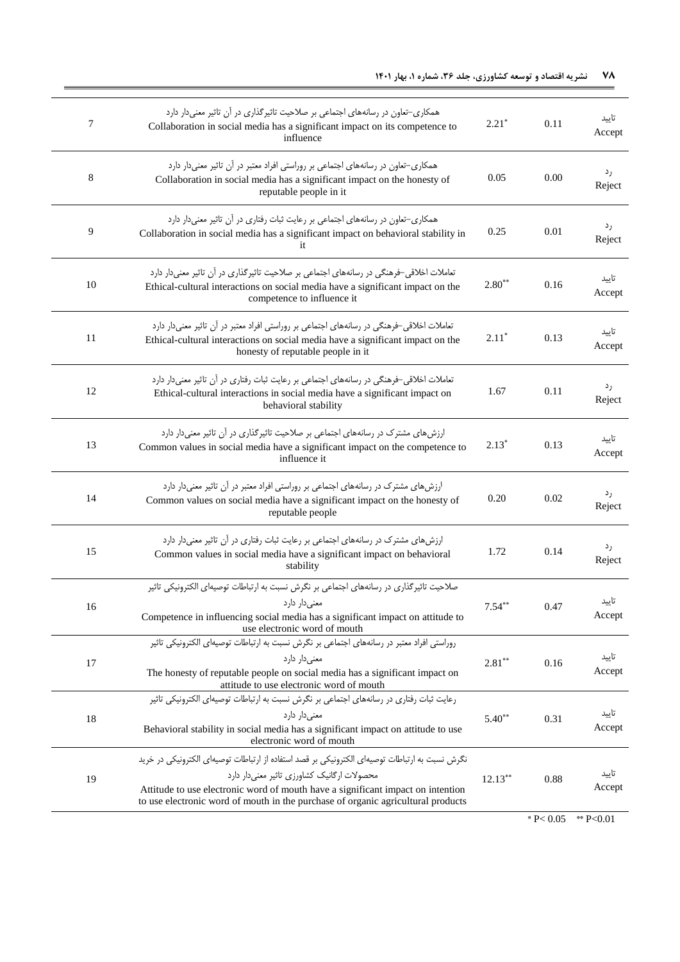| 7  | همکاری-تعاون در رسانههای اجتماعی بر صلاحیت تاثیرگذاری در آن تاثیر معنیدار دارد<br>Collaboration in social media has a significant impact on its competence to<br>influence                                                                                                                                          | $2.21*$    | 0.11 | تاييد<br>Accept |
|----|---------------------------------------------------------------------------------------------------------------------------------------------------------------------------------------------------------------------------------------------------------------------------------------------------------------------|------------|------|-----------------|
| 8  | همکاری–تعاون در رسانههای اجتماعی بر روراستی افراد معتبر در آن تاثیر معنیدار دارد<br>Collaboration in social media has a significant impact on the honesty of<br>reputable people in it                                                                                                                              | 0.05       | 0.00 | رد<br>Reject    |
| 9  | همکاری-تعاون در رسانههای اجتماعی بر رعایت ثبات رفتاری در آن تاثیر معنیدار دارد<br>Collaboration in social media has a significant impact on behavioral stability in<br>it                                                                                                                                           | 0.25       | 0.01 | رد<br>Reject    |
| 10 | تعاملات اخلاقی-فرهنگی در رسانههای اجتماعی بر صلاحیت تاثیرگذاری در آن تاثیر معنیدار دارد<br>Ethical-cultural interactions on social media have a significant impact on the<br>competence to influence it                                                                                                             | $2.80**$   | 0.16 | تاييد<br>Accept |
| 11 | تعاملات اخلاقی-فرهنگی در رسانههای اجتماعی بر روراستی افراد معتبر در آن تاثیر معنیدار دارد<br>Ethical-cultural interactions on social media have a significant impact on the<br>honesty of reputable people in it                                                                                                    | $2.11*$    | 0.13 | تاييد<br>Accept |
| 12 | تعاملات اخلاقی-فرهنگی در رسانههای اجتماعی بر رعایت ثبات رفتاری در آن تاثیر معنیدار دارد<br>Ethical-cultural interactions in social media have a significant impact on<br>behavioral stability                                                                                                                       | 1.67       | 0.11 | رد<br>Reject    |
| 13 | ارزشهای مشترک در رسانههای اجتماعی بر صلاحیت تاثیرگذاری در آن تاثیر معنیدار دارد<br>Common values in social media have a significant impact on the competence to<br>influence it                                                                                                                                     | $2.13*$    | 0.13 | تاييد<br>Accept |
| 14 | ارزشهای مشترک در رسانههای اجتماعی بر روراستی افراد معتبر در آن تاثیر معنیدار دارد<br>Common values on social media have a significant impact on the honesty of<br>reputable people                                                                                                                                  | 0.20       | 0.02 | رد<br>Reject    |
| 15 | ارزش های مشترک در رسانههای اجتماعی بر رعایت ثبات رفتاری در آن تاثیر معنی دار دارد<br>Common values in social media have a significant impact on behavioral<br>stability                                                                                                                                             | 1.72       | 0.14 | رد<br>Reject    |
| 16 | صلاحیت تاثیرگذاری در رسانههای اجتماعی بر نگرش نسبت به ارتباطات توصیهای الکترونیکی تاثیر<br>معنىدار دارد<br>Competence in influencing social media has a significant impact on attitude to<br>use electronic word of mouth                                                                                           | $7.54**$   | 0.47 | تاييد<br>Accept |
| 17 | روراستی افراد معتبر در رسانههای اجتماعی بر نگرش نسبت به ارتباطات توصیهای الکترونیکی تاثیر<br>معنے ردار دار د<br>The honesty of reputable people on social media has a significant impact on<br>attitude to use electronic word of mouth                                                                             | $2.81***$  | 0.16 | تاييد<br>Accept |
| 18 | رعایت ثبات رفتاری در رسانههای اجتماعی بر نگرش نسبت به ارتباطات توصیهای الکترونیکی تاثیر<br>معنے دار دارد<br>Behavioral stability in social media has a significant impact on attitude to use<br>electronic word of mouth                                                                                            | $5.40**$   | 0.31 | تاييد<br>Accept |
| 19 | نگرش نسبت به ارتباطات توصیهای الکترونیکی بر قصد استفاده از ارتباطات توصیهای الکترونیکی در خرید<br>محصولات ارگانیک کشاورزی تاثیر معنیدار دارد<br>Attitude to use electronic word of mouth have a significant impact on intention<br>to use electronic word of mouth in the purchase of organic agricultural products | $12.13***$ | 0.88 | تاييد<br>Accept |

\*  $P < 0.05$  \*\*  $P < 0.01$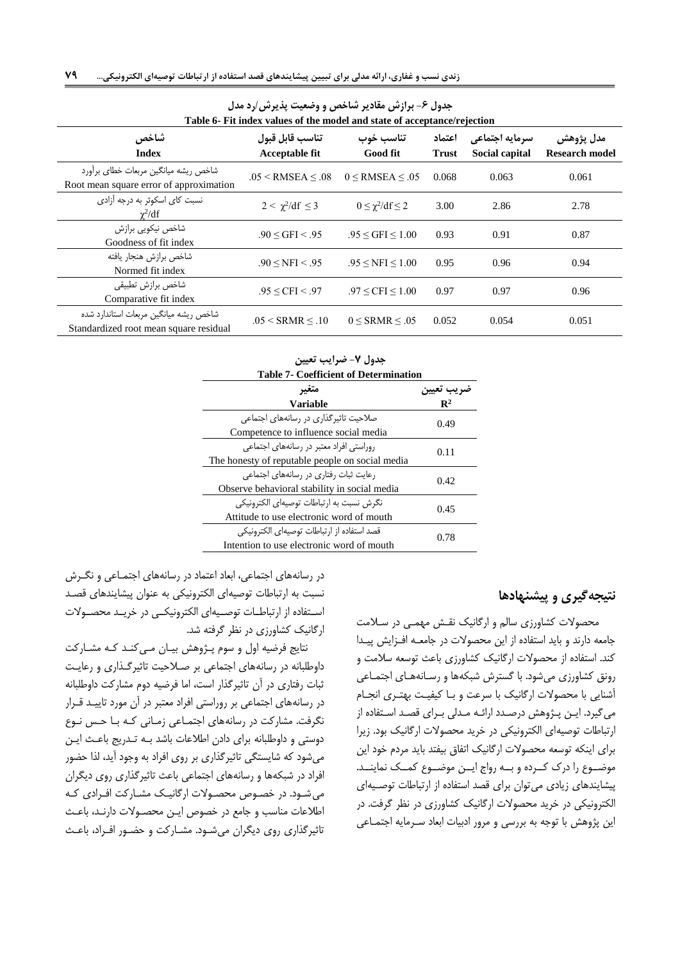| جدوں خ– براز س مقادیر ساخص و وصعیت پدیر س ارد مدل<br>Table 6- Fit index values of the model and state of acceptance/rejection |                                          |                           |                        |                                  |                                    |
|-------------------------------------------------------------------------------------------------------------------------------|------------------------------------------|---------------------------|------------------------|----------------------------------|------------------------------------|
| شاخص<br><b>Index</b>                                                                                                          | تناسب قابل قبول<br><b>Acceptable fit</b> | تناسب خوب<br>Good fit     | اعتماد<br><b>Trust</b> | سرمايه اجتماعي<br>Social capital | مدل يژوهش<br><b>Research model</b> |
| شاخص ریشه میانگین مربعات خطای برآورد<br>Root mean square error of approximation                                               | $.05 <$ RMSEA $\leq .08$                 | $0 \leq$ RMSEA $\leq .05$ | 0.068                  | 0.063                            | 0.061                              |
| نسبت کای اسکوئر به درجه آزادی<br>$\chi^2/df$                                                                                  | $2 < \gamma^2/\mathrm{df} \leq 3$        | $0 \leq \chi^2/df \leq 2$ | 3.00                   | 2.86                             | 2.78                               |
| شاخص نیکویی برازش<br>Goodness of fit index                                                                                    | .90 < GFI < .95                          | .95 < GFI < 1.00          | 0.93                   | 0.91                             | 0.87                               |
| شاخص برازش هنجار يافته<br>Normed fit index                                                                                    | .90 < NFI < .95                          | $.95 \leq NFI \leq 1.00$  | 0.95                   | 0.96                             | 0.94                               |
| شاخص برازش تطبيقى<br>Comparative fit index                                                                                    | $.95 \leq CFI \leq .97$                  | $.97 \le CFI \le 1.00$    | 0.97                   | 0.97                             | 0.96                               |
| شاخص ریشه میانگین مربعات استاندارد شده<br>Standardized root mean square residual                                              | $.05 <$ SRMR $\leq .10$                  | $0 <$ SRMR $< .05$        | 0.052                  | 0.054                            | 0.051                              |

<span id="page-14-0"></span>**جدول -6 برازش مقادیر شاخص و وضعیت پذیرش/رد مدل**

<span id="page-14-1"></span>

| <b>Table 7- Coefficient of Determination</b><br>متغىر<br>Variable | صريب ىعيين<br>$\mathbf{R}^2$ |  |
|-------------------------------------------------------------------|------------------------------|--|
|                                                                   |                              |  |
|                                                                   |                              |  |
|                                                                   |                              |  |
| صلاحیت تاثیر گذاری در رسانههای احتماعی                            | 0.49                         |  |
| Competence to influence social media                              |                              |  |
| روراستی افراد معتبر در رسانههای احتماعی                           | 0.11                         |  |
| The honesty of reputable people on social media                   |                              |  |
| رعایت ثبات رفتاری در رسانههای اجتماعی                             | 0.42                         |  |
| Observe behavioral stability in social media                      |                              |  |
| نگرش نسبت به ارتباطات توصیهای الکترونیکی                          | 0.45                         |  |
| Attitude to use electronic word of mouth                          |                              |  |
| قصد استفاده از ارتباطات توصیهای الکترونیکی                        | 0.78                         |  |
| Intention to use electronic word of mouth                         |                              |  |

## **نتیجهگیری و پیشنهادها**

محصوالت کشاورزی سالم و ارگانیک نقرش مهمری در سرالمت جامعه دارند و باید استفاده از این محصولات در جامعـه افـزایش پیـدا کند. استفاده از محصولات ارگانیک کشاورزی باعث توسعه سلامت و رونق کشاورزی میشود. با گسترش شبکهها و رسانههای اجتماعی ودنایی با محصوالت ارگانیک با سرعت و برا کیفیرت بهترری انجرام می گیرد. ایـن پـژوهش درصـدد ارائـه مـدلی بـرای قصـد اسـتفاده از ارتباطات توصیهای الکترونیکی در خرید محصوالت ارگانیک بود. زیرا برای اینکه توسعه محصوالت ارگانیک اتفاق بیفتد باید مردم خود این موضـوع را درک کـرده و بــه رواج ایــن موضــوع کمــک نماینــد. پیشایندهای زیادی می توان برای قصد استفاده از ارتباطات توصیهای الکترونیکی در خرید محصوالت ارگانیک کشاورزی در نظر گرفت. در این پژوهش با توجه به بررسی و مرور ادبیات ابعاد سررمایه اجتمراعی

در رسانههای اجتماعی، ابعاد اعتماد در رسانههای اجتمـاعی و نگـرش نسبت به ارتباطات توصیهای الکترونیکی به عنوان پیشایندهای قصرد استفاده از ارتباطات توصیهای الکترونیکی در خریـد محصـولات ارگانیک کشاورزی در نظر گرفته شد.

نتایج فرضیه اول و سوم پرژوهش بیران مری کنرد کره مشرارکت داوطلبانه در رسانههای اجتماعی بر صرالحیت تاثیرگرذاری و رعایرت ثبات رفتاری در آن تاثیرگذار است، اما فرضیه دوم مشارکت داوطلبانه در رسانههای اجتماعی بر روراستی افراد معتبر در آن مورد تاییـد قــرار نگرفت. مشارکت در رسانههای اجتمراعی زمرانی کره برا حرس نروخ دوستی و داوطلبانه برای دادن اطلاعات باشد بـه تـدریج باعـث ایـن میشود که شایستگی تاثیرگذاری بر روی افراد به وجود آید، لذا حضور افراد در شبکهها و رسانههای اجتماعی باعث تاثیرگذاری روی دیگران می شـود. در خصـوص محصـولات ارگانیـک مشـارکت افـرادی کـه اطالعات مناسب و جامع در خصوت ایرن محصروالت دارنرد باعرث تاثیرگذاری روی دیگران میشود. مشـارکت و حضـور افـراد، باعـث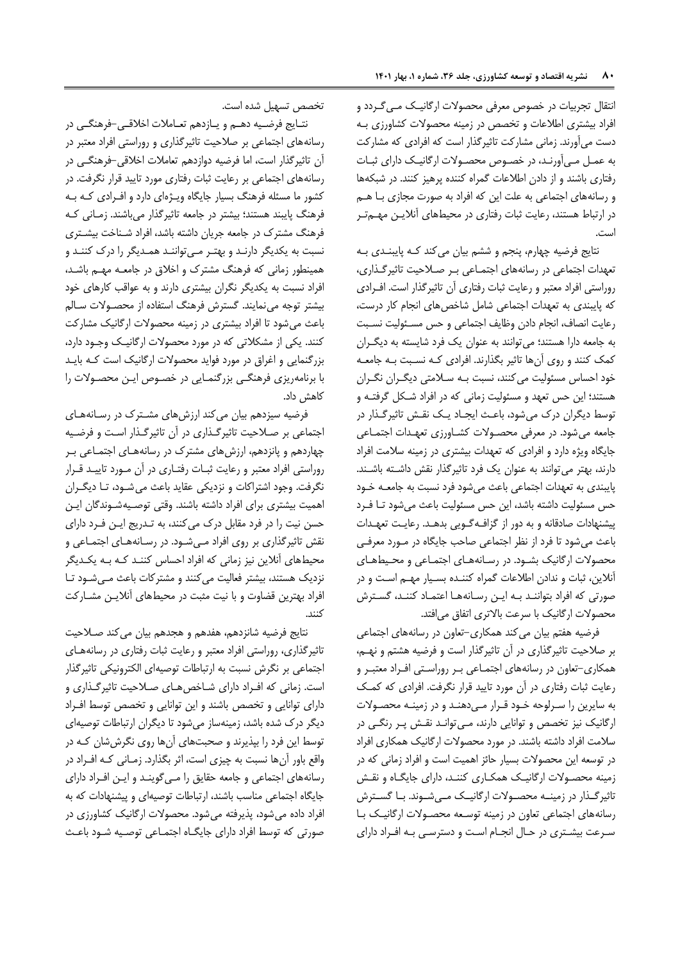انتقال تجربیات در خصوت معرفی محصوالت ارگانیرک مری گرردد و افراد بیشتری اطلاعات و تخصص در زمینه محصولات کشاورزی بـه دست میآورند. زمانی مشارکت تاثیرگذار است که افرادی که مشارکت به عمرل مری وورنرد در خصروت محصروالت ارگانیرک دارای ثبرات رفتاری باشند و از دادن اطلاعات گمراه کننده پرهیز کنند. در شبکهها و رسانههای اجتماعی به علت این که افراد به صورت مجازی برا هرم در ارتباط هستند، رعایت ثبات رفتاری در محیطهای آنلایـن مهــمتـر است.

نتایج فرضیه چهارم، پنجم و ششم بیان میکند کـه پایبنـدی بـه تعهدات اجتماعی در رسانههای اجتمـاعی بـر صـلاحیت تاثیرگـذاری، روراستی افراد معتبر و رعایت ثبات رفتاری آن تاثیرگذار است. افـرادی که پایبندی به تعهدات اجتماعی شامل شاخص های انجام کار درست، رعایت انصاف انجام دادن وظایف اجتماعی و حس مسرئولیت نسربت به جامعه دارا هستند؛ میتوانند به عنوان یک فرد دایسته به دیگرران کمک کنند و روی آنها تاثیر بگذارند. افرادی کـه نسـبت بـه جامعـه خود احساس مسئولیت می کنند، نسبت بـه سـلامتی دیگـران نگـران هستند؛ این حس تعهد و مسئولیت زمانی که در افراد شکل گرفتـه و توسط دیگران درک میشود، باعث ایجـاد یـک نقـش تاثیرگـذار در جامعه می شود. در معرفی محصولات کشاورزی تعهدات اجتماعی جایگاه ویژه دارد و افرادی که تعهدات بیشتری در زمینه سلامت افراد دارند، بهتر می توانند به عنوان یک فرد تاثیرگذار نقش داشته باشند. پایبندی به تعهدات اجتماعی باعث میدود فرد نسبت به جامعره خرود حس مسئولیت داشته باشد، این حس مسئولیت باعث میشود تـا فـرد پیشنهادات صادقانه و به دور از گزافره گرویی بدهرد. رعایرت تعهردات باعث میشود تا فرد از نظر اجتماعی صاحب جایگاه در مـورد معرفـی محصوالت ارگانیک بشرود. در رسرانه هرای اجتمراعی و محریط هرای آنلاین، ثبات و ندادن اطلاعات گمراه کننـده بسـیار مهـم اسـت و در صورتی که افراد بتوانند به این رسانهها اعتماد کنند، گسترش محصوالت ارگانیک با سرعت باالتری اتفاق میافتد.

فرضیه هفتم بیان می کند همکاری-تعاون در رسانههای اجتماعی بر صلاحیت تاثیرگذاری در آن تاثیرگذار است و فرضیه هشتم و نهـم، همکاری-تعاون در رسانههای اجتمراعی برر روراسرتی افرراد معتبرر و رعایت ثبات رفتاری در آن مورد تایید قرار نگرفت. افرادی که کمک به سایرین را سرلوحه خود قرار میدهند و در زمینه محصولات ارگانیک نیز تخصص و توانایی دارند، می توانـد نقـش پـر رنگـی در سالمت افراد دادته بادند. در مورد محصوالت ارگانیک همکاری افراد در توسعه این محصوالت بسیار حائز اهمیت است و افراد زمانی که در زمینه محصروالت ارگانیرک همکراری کننرد د ارای جایگرا و نقرش تاثیرگـذار در زمینــه محصــولات ارگانیــک مــیشــوند. بــا گســترش رسانههای اجتماعی تعاون در زمینه توسرعه محصروالت ارگانیرک برا سررعت بیشرتری در حرال انجرام اسرت و دسترسری بره افرراد دارای

تخصص تسهیل شده است.

نتـایج فرضـیه دهــم و یــازدهم تعــاملات اخلاقــی-فرهنگــی در رسانههای اجتماعی بر صالحیت تاثیرگذاری و روراستی افراد معتبر در ون تاثیرگذار است اما فرضیه دوازدهم تعامالت اخالقی-فرهنگری در رسانههای اجتماعی بر رعایت ثبات رفتاری مورد تایید قرار نگرفت. در کشور ما مسئله فرهنگ بسیار جایگاه ویـژهای دارد و افـرادی کـه بـه فرهنگ پایبند هستند؛ بیشتر در جامعه تاثیرگذار میبادند. زمرانی کره فرهنگ مشترک در جامعه جریان داشته باشد، افراد شـناخت بیشـتری نسبت به یکدیگر دارنرد و بهترر مری تواننرد همردیگر را درک کننرد و همینطور زمانی که فرهنگ مشترک و اخلاق در جامعـه مهـم باشـد، افراد نسبت به یکدیگر نگران بیشتری دارند و به عواقب کارهای خود بیشتر توجه مینمایند. گسترش فرهنگ استفاده از محصـولات سـالم باعث میدود تا افراد بیشتری در زمینه محصوالت ارگانیک مشارکت کنند. یکی از مشکالتی که در مورد محصوالت ارگانیرک وجرود دارد بزرگنمایی و اغراق در مورد فواید محصوالت ارگانیک است کره بایرد با برنامهریزی فرهنگری بزرگنمرایی در خصروت ایرن محصروالت را کاهش داد.

فرضیه سیزدهم بیان میکند ارزشهای مشرترک در رسرانه هرای اجتماعی بر صلاحیت تاثیرگذاری در آن تاثیرگذار است و فرضیه چهاردهم و پانزدهم ارزشهای مشترک در رسانههرای اجتمراعی برر روراستی افراد معتبر و رعایت ثبرات رفتراری در ون مرورد تاییرد قررار نگرفت. وجود اشتراکات و نزدیکی عقاید باعث می شـود، تـا دیگـران اهمیت بیشتری برای افراد داشته باشند. وقتی توصـیهشـوندگان ایـن حسن نیت را در فرد مقابل درک میکنند به تردریج ایرن فررد دارای نقش تاثیرگذاری بر روی افراد میشود. در رسانههای اجتماعی و محیطهای آنلاین نیز زمانی که افراد احساس کننـد کـه بـه یکـدیگر نزدیک هستند، بیشتر فعالیت میکنند و مشترکات باعث می شود تا افراد بهترین قضاوت و با نیت مثبت در محیطهای آنلایـن مشــارکت کنند.

نتایج فرضیه شانزدهم، هفدهم و هجدهم بیان میکند صلاحیت تاثیرگذاری روراستی افراد معتبر و رعایت ثبات رفتاری در رسانههرای اجتماعی بر نگرش نسبت به ارتباطات توصیهای الکترونیکی تاثیرگذار است. زمانی که افـراد دارای شـاخص هـای صـلاحیت تاثیرگـذاری و دارای توانایی و تخصص باشند و این توانایی و تخصص توسط افراد دیگر درک شده باشد، زمینهساز میشود تا دیگران ارتباطات توصیهای توسط این فرد را بپذیرند و صحبتهای آنها روی نگرششان کـه در واقع باور آنها نسبت به چیزی است، اثر بگذارد. زمـانی کـه افـراد در رسانههای اجتماعی و جامعه حقایق را مری گوینرد و ایرن افرراد دارای جایگاه اجتماعی مناسب باشند، ارتباطات توصیهای و پیشنهادات که به افراد داده می شود، پذیرفته می شود. محصولات ارگانیک کشاورزی در صورتی که توسط افراد دارای جایگـاه اجتمـاعی توصـیه شـود باعـث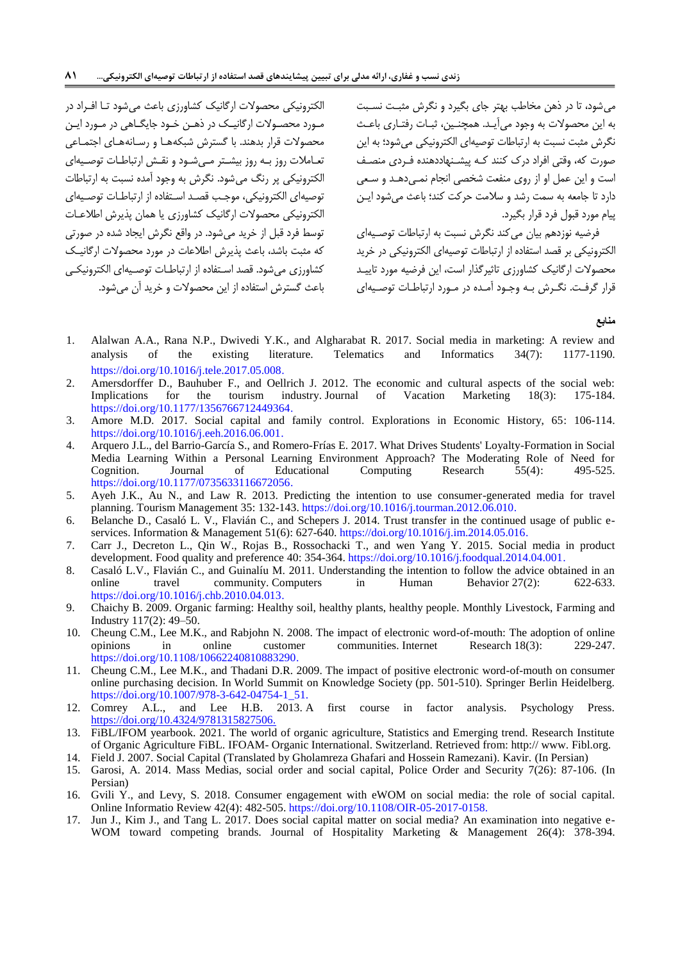الکترونیکی محصوالت ارگانیک کشاورزی باعث میدود ترا افرراد در مرورد محصروالت ارگانیرک در ذهرن خرود جایگراهی در مرورد ایرن محصوالت قرار بدهند. با گسترش دبکههرا و رسرانه هرای اجتمراعی تعـاملات روز بـه روز بیشـتر مـیشـود و نقـش ارتباطـات توصـیهای الکترونیکی پر رنگ می شود. نگرش به وجود آمده نسبت به ارتباطات توصیهای الکترونیکی، موجب قصد استفاده از ارتباطات توصیهای الکترونیکی محصوالت ارگانیک کشاورزی یا همان پذیرش اطالعرات توسط فرد قبل از خرید می شود. در واقع نگرش ایجاد شده در صورتی که مثبت باشد، باعث پذیرش اطلاعات در مورد محصولات ارگانیک کشاورزی می شود. قصد استفاده از ارتباطـات توصـیه|ی الکترونیکـی باعث گسترش استفاده از این محصولات و خرید آن می شود.

می شود، تا در ذهن مخاطب بهتر جای بگیرد و نگرش مثبت نسبت به این محصولات به وجود می آیـد. همچنـین، ثبـات رفتـاری باعـث نگرش مثبت نسبت به ارتباطات توصیهای الکترونیکی میدود؛ به این صورت که وقتی افراد درک کنند کره پیشرنهاددهند فرردی منصرف است و این عمل او از روی منفعت دخصی انجام نمری دهرد و سرعی دارد تا جامعه به سمت ردد و سالمت حرکت کند؛ باعث میدود ایرن پیام مورد قبول فرد قرار بگیرد.

فرضیه نوزدهم بیان میکند نگرش نسبت به ارتباطات توصریه ای الکترونیکی بر قصد استفاد از ارتباطات توصیهای الکترونیکی در خرید محصوالت ارگانیک کشاورزی تاثیرگذار است این فرضیه مورد تاییرد قرار گرفت. نگـرش بـه وجـود آمـده در مـورد ارتباطـات توصـیه|ی

**منابع**

- <span id="page-16-4"></span>1. Alalwan A.A., Rana N.P., Dwivedi Y.K., and Algharabat R. 2017. Social media in marketing: A review and analysis of the existing literature. Telematics and Informatics 34(7): 1177-1190. [https://doi.org/10.1016/j.tele.2017.05.008.](https://doi.org/10.1016/j.tele.2017.05.008)
- <span id="page-16-2"></span>2. Amersdorffer D., Bauhuber F., and Oellrich J. 2012. The economic and cultural aspects of the social web:<br>Implications for the tourism industry. Journal of Vacation Marketing 18(3): 175-184. Implications for the tourism industry. Journal of Vacation Marketing [https://doi.org/10.1177/1356766712449364.](https://www.cabdirect.org/cabdirect/abstract/20123295543)
- <span id="page-16-10"></span>3. Amore M.D. 2017. Social capital and family control. Explorations in Economic History, 65: 106-114. [https://doi.org/10.1016/j.eeh.2016.06.001.](https://doi.org/10.1016/j.eeh.2016.06.001)
- <span id="page-16-5"></span>4. Arquero J.L., del Barrio-García S., and Romero-Frías E. 2017. What Drives Students' Loyalty-Formation in Social Media Learning Within a Personal Learning Environment Approach? The Moderating Role of Need for Cognition. Journal of Educational Computing Research 55(4): 495-525. [https://doi.org/10.1177/0735633116672056.](https://idus.us.es/handle/11441/78297)
- <span id="page-16-13"></span>5. Ayeh J.K., Au N., and Law R. 2013. Predicting the intention to use consumer-generated media for travel planning. Tourism Management 35: 132-143. [https://doi.org/10.1016/j.tourman.2012.06.010.](https://doi.org/10.1016/j.tourman.2012.06.010)
- <span id="page-16-9"></span>6. Belanche D., Casaló L. V., Flavián C., and Schepers J. 2014. Trust transfer in the continued usage of public eservices. Information & Management 51(6): 627-640. [https://doi.org/10.1016/j.im.2014.05.016.](https://doi.org/10.1016/j.im.2014.05.016)
- <span id="page-16-3"></span>7. Carr J., Decreton L., Qin W., Rojas B., Rossochacki T., and wen Yang Y. 2015. Social media in product development. Food quality and preference 40: 354-364. [https://doi.org/10.1016/j.foodqual.2014.04.001.](https://doi.org/10.1016/j.foodqual.2014.04.001)
- <span id="page-16-11"></span>8. Casaló L.V., Flavián C., and Guinalíu M. 2011. Understanding the intention to follow the advice obtained in an online travel community. Computers in Human Behavior 27(2): 622-633. [https://doi.org/10.1016/j.chb.2010.04.013.](https://doi.org/10.1016/j.chb.2010.04.013)
- <span id="page-16-1"></span>9. Chaichy B. 2009. Organic farming: Healthy soil, healthy plants, healthy people. Monthly Livestock, Farming and Industry 117(2): 49–50.
- <span id="page-16-12"></span>10. Cheung C.M., Lee M.K., and Rabjohn N. 2008. The impact of electronic word-of-mouth: The adoption of online<br>
opinions in online customer communities. Internet Research 18(3): 229-247. in online customer communities. Internet Research 18(3): [https://doi.org/10.1108/10662240810883290.](https://doi.org/10.1108/10662240810883290)
- <span id="page-16-14"></span>11. Cheung C.M., Lee M.K., and Thadani D.R. 2009. The impact of positive electronic word-of-mouth on consumer online purchasing decision. In World Summit on Knowledge Society (pp. 501-510). Springer Berlin Heidelberg. [https://doi.org/10.1007/978-3-642-04754-1\\_51.](https://link.springer.com/chapter/10.1007/978-3-642-04754-1_51#Bib1)
- <span id="page-16-16"></span>12. Comrey A.L., and Lee H.B. 2013. A first course in factor analysis. Psychology Press. <https://doi.org/10.4324/9781315827506.>
- <span id="page-16-0"></span>13. FiBL/IFOM yearbook. 2021. The world of organic agriculture, Statistics and Emerging trend. Research Institute of Organic Agriculture FiBL. IFOAM- Organic International. Switzerland. Retrieved from: http:// www. Fibl.org.
- <span id="page-16-7"></span>14. Field J. 2007. Social Capital (Translated by Gholamreza Ghafari and Hossein Ramezani). Kavir. (In Persian) 15. Garosi, A. 2014. Mass Medias, social order and social capital, Police Order and Security 7(26): 87-106. (In
- <span id="page-16-6"></span>Persian)
- <span id="page-16-15"></span>16. Gvili Y., and Levy, S. 2018. Consumer engagement with eWOM on social media: the role of social capital. Online Informatio Review 42(4): 482-505. [https://doi.org/10.1108/OIR-05-2017-0158.](https://doi.org/10.1108/OIR-05-2017-0158)
- <span id="page-16-8"></span>17. Jun J., Kim J., and Tang L. 2017. Does social capital matter on social media? An examination into negative e-WOM toward competing brands. Journal of Hospitality Marketing & Management 26(4): 378-394.